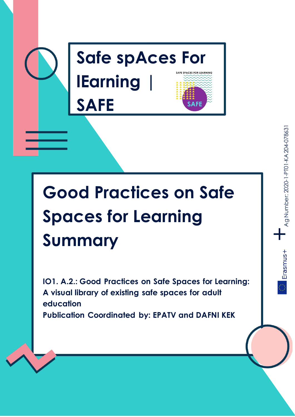

# **Good Practices on Safe Spaces for Learning Summary**

**IO1. A.2.: Good Practices on Safe Spaces for Learning: A visual library of existing safe spaces for adult education Publication Coordinated by: EPATV and DAFNI KEK**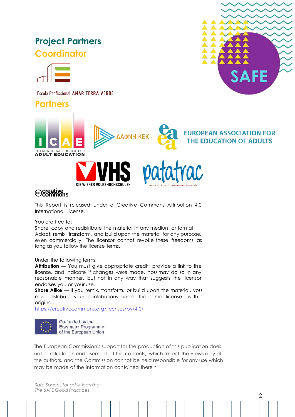# **Project Partners Coordinator**



Escola Profissional AMAR TERRA VERDE

**Partners** 







This Report is released under a Creative Commons Attribution 4.0 International License.

DIE WIENER VOLKSHOCHSCHULEI

You are free to:

Share: copy and redistribute the material in any medium or format. Adapt: remix, transform, and build upon the material for any purpose, even commercially. The licensor cannot revoke these freedoms as long as you follow the license terms.

Under the following terms:

**Attribution** — You must give appropriate credit, provide a link to the license, and indicate if changes were made. You may do so in any reasonable manner, but not in any way that suggests the licensor endorses you or your use.

**Share Alike** — If you remix, transform, or build upon the material, you must distribute your contributions under the same license as the original.

<https://creativecommons.org/licenses/by/4.0/>



Co-funded by the Erasmus+ Programme of the European Union

The European Commission's support for the production of this publication does not constitute an endorsement of the contents, which reflect the views only of the authors, and the Commission cannot be held responsible for any use which may be made of the information contained therein

*Safe Spaces for adult learning: The SAFE Good Practices*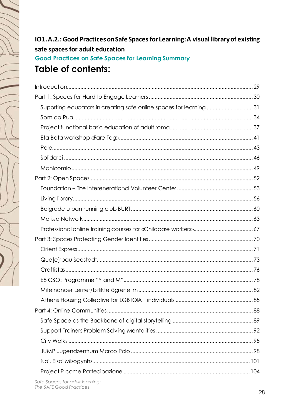# IO1.A.2.: Good Practices on Safe Spaces for Learning: A visual library of existing safe spaces for adult education **Good Practices on Safe Spaces for Learning Summary Table of contents:**

| Suporting educators in creating safe online spaces for learning31 |  |
|-------------------------------------------------------------------|--|
|                                                                   |  |
|                                                                   |  |
|                                                                   |  |
|                                                                   |  |
|                                                                   |  |
|                                                                   |  |
|                                                                   |  |
|                                                                   |  |
|                                                                   |  |
|                                                                   |  |
|                                                                   |  |
|                                                                   |  |
|                                                                   |  |
|                                                                   |  |
|                                                                   |  |
|                                                                   |  |
|                                                                   |  |
|                                                                   |  |
|                                                                   |  |
|                                                                   |  |
|                                                                   |  |
|                                                                   |  |
|                                                                   |  |
|                                                                   |  |
|                                                                   |  |
|                                                                   |  |
|                                                                   |  |

Safe Spaces for adult learning: The SAFE Good Practices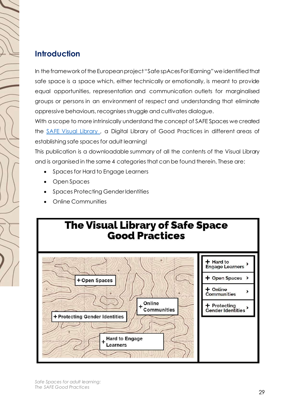# <span id="page-3-0"></span>**Introduction**

In the framework of the European project "Safe spAces For lEarning" we identified that safe space is a space which, either technically or emotionally, is meant to provide equal opportunities, representation and communication outlets for marginalised groups or persons in an environment of respect and understanding that eliminate oppressive behaviours, recognises struggle and cultivates dialogue.

With a scope to more intrinsically understand the concept of SAFE Spaces we created the [SAFE Visual Library ,](https://www.safespacesale.eu/?page_id=6321) a Digital Library of Good Practices in different areas of establishing safe spaces for adult learning!

This publication is a downloadable summary of all the contents of the Visual Library and is organised in the same 4 categories that can be found therein. These are:

- Spaces for Hard to Engage Learners
- Open Spaces
- Spaces Protecting Gender Identities
- Online Communities



*Safe Spaces for adult learning: The SAFE Good Practices*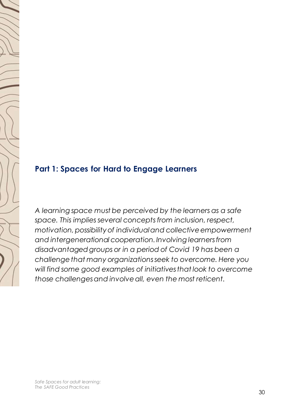# <span id="page-4-0"></span>**Part 1: Spaces for Hard to Engage Learners**

*A learning space must be perceived by the learners as a safe space. This implies several concepts from inclusion, respect, motivation, possibility of individual and collective empowerment and intergenerational cooperation. Involving learners from disadvantaged groups or in a period of Covid 19 has been a challenge that many organizations seek to overcome. Here you will find some good examples of initiatives that look to overcome those challenges and involve all, even the most reticent.*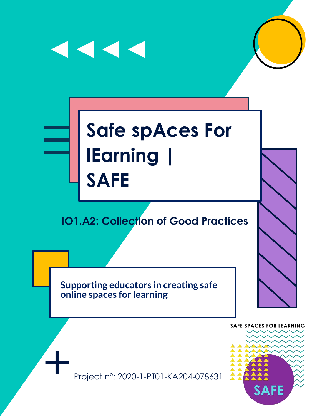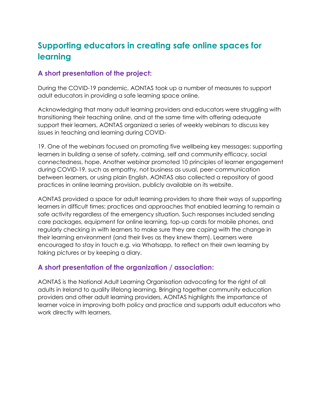# **Supporting educators in creating safe online spaces for learning**

#### **A short presentation of the project:**

During the COVID-19 pandemic, AONTAS took up a number of measures to support adult educators in providing a safe learning space online.

Acknowledging that many adult learning providers and educators were struggling with transitioning their teaching online, and at the same time with offering adequate support their learners, AONTAS organized a series of weekly webinars to discuss key issues in teaching and learning during COVID-

19. One of the webinars focused on promoting five wellbeing key messages: supporting learners in building a sense of safety, calming, self and community efficacy, social connectedness, hope. Another webinar promoted 10 principles of learner engagement during COVID-19, such as empathy, not business as usual, peer-communication between learners, or using plain English. AONTAS also collected a repository of good practices in online learning provision, publicly available on its website.

AONTAS provided a space for adult learning providers to share their ways of supporting learners in difficult times; practices and approaches that enabled learning to remain a safe activity regardless of the emergency situation. Such responses included sending care packages, equipment for online learning, top-up cards for mobile phones, and regularly checking in with learners to make sure they are coping with the change in their learning environment (and their lives as they knew them). Learners were encouraged to stay in touch e.g. via Whatsapp, to reflect on their own learning by taking pictures or by keeping a diary.

#### **A short presentation of the organization / association:**

AONTAS is the National Adult Learning Organisation advocating for the right of all adults in Ireland to quality lifelong learning. Bringing together community education providers and other adult learning providers, AONTAS highlights the importance of learner voice in improving both policy and practice and supports adult educators who work directly with learners.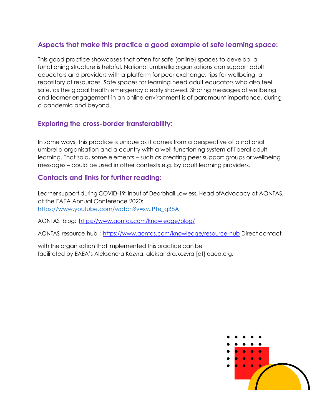#### **Aspects that make this practice a good example of safe learning space:**

This good practice showcases that often for safe (online) spaces to develop, a functioning structure is helpful. National umbrella organisations can support adult educators and providers with a platform for peer exchange, tips for wellbeing, a repository of resources. Safe spaces for learning need adult educators who also feel safe, as the global health emergency clearly showed. Sharing messages of wellbeing and learner engagement in an online environment is of paramount importance, during a pandemic and beyond.

#### **Exploring the cross-border transferability:**

In some ways, this practice is unique as it comes from a perspective of a national umbrella organisation and a country with a well-functioning system of liberal adult learning. That said, some elements – such as creating peer support groups or wellbeing messages – could be used in other contexts e.g. by adult learning providers.

#### **Contacts and links for further reading:**

Learner support during COVID-19: input of Dearbhail Lawless, Head ofAdvocacy at AONTAS, at the EAEA Annual Conference 2020: [https://www.youtube.com/watch?v=xvJPTe\\_qB8A](https://www.youtube.com/watch?v=xvJPTe_qB8A)

AONTAS blog: <https://www.aontas.com/knowledge/blog/>

AONTAS resource hub : <https://www.aontas.com/knowledge/resource-hub> Direct contact

with the organisation that implemented this practice can be facilitated by EAEA's Aleksandra Kozyra: aleksandra.kozyra [at] eaea.org.

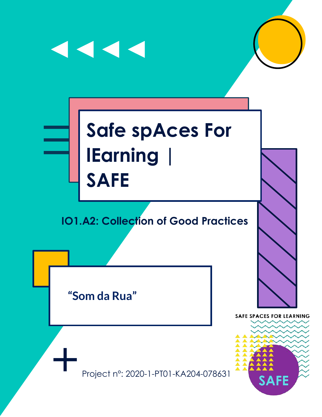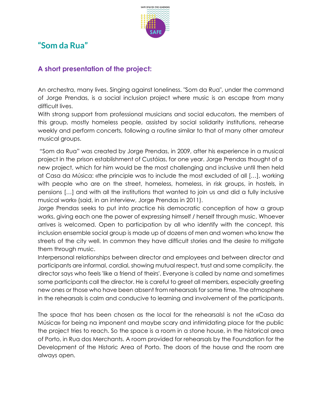

# **"Som da Rua"**

#### **A short presentation of the project:**

An orchestra, many lives. Singing against loneliness. "Som da Rua", under the command of Jorge Prendas, is a social inclusion project where music is an escape from many difficult lives.

With strong support from professional musicians and social educators, the members of this group, mostly homeless people, assisted by social solidarity institutions, rehearse weekly and perform concerts, following a routine similar to that of many other amateur musical groups.

"Som da Rua" was created by Jorge Prendas, in 2009, after his experience in a musical project in the prison establishment of Custóias, for one year. Jorge Prendas thought of a new project, which for him would be the most challenging and inclusive until then held at Casa da Música: «the principle was to include the most excluded of all […], working with people who are on the street, homeless, homeless, in risk groups, in hostels, in pensions […] and with all the institutions that wanted to join us and did a fully inclusive musical work» (said, in an interview, Jorge Prendas in 2011).

Jorge Prendas seeks to put into practice his democratic conception of how a group works, giving each one the power of expressing himself / herself through music. Whoever arrives is welcomed. Open to participation by all who identify with the concept, this inclusion ensemble social group is made up of dozens of men and women who know the streets of the city well. In common they have difficult stories and the desire to mitigate them through music.

Interpersonal relationships between director and employees and between director and participants are informal, cordial, showing mutual respect, trust and some complicity. the director says who feels 'like a friend of theirs'. Everyone is called by name and sometimes some participants call the director. He is careful to greet all members, especially greeting new ones or those who have been absent from rehearsals for some time. The atmosphere in the rehearsals is calm and conducive to learning and involvement of the participants.

The space that has been chosen as the local for the rehearsalsI is not the «Casa da Música» for being na imponent and maybe scary and intimidating place for the public the project tries to reach. So the space is a room in a stone house, in the historical area of Porto, in Rua dos Merchants. A room provided for rehearsals by the Foundation for the Development of the Historic Area of Porto. The doors of the house and the room are always open.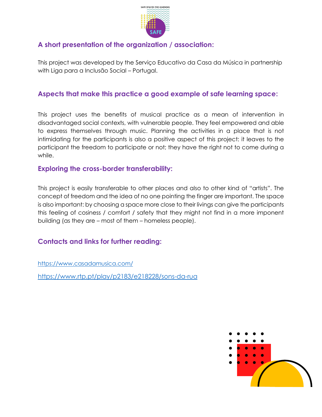

#### **A short presentation of the organization / association:**

This project was developed by the Serviço Educativo da Casa da Música in partnership with Liga para a Inclusão Social – Portugal.

#### **Aspects that make this practice a good example of safe learning space:**

This project uses the benefits of musical practice as a mean of intervention in disadvantaged social contexts, with vulnerable people. They feel empowered and able to express themselves through music. Planning the activities in a place that is not intimidating for the participants is also a positive aspect of this project: it leaves to the participant the freedom to participate or not; they have the right not to come during a while.

#### **Exploring the cross-border transferability:**

This project is easily transferable to other places and also to other kind of "artists". The concept of freedom and the idea of no one pointing the finger are important. The space is also important: by choosing a space more close to their livings can give the participants this feeling of cosiness / comfort / safety that they might not find in a more imponent building (as they are – most of them – homeless people).

#### **Contacts and links for further reading:**

<https://www.casadamusica.com/>

<https://www.rtp.pt/play/p2183/e218228/sons-da-rua>

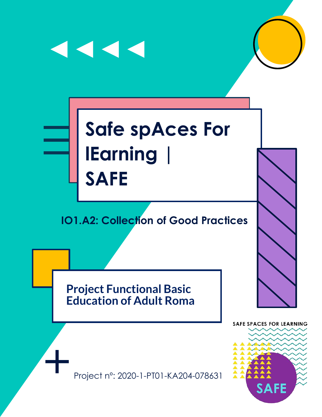

**Project Functional Basic Education of Adult Roma**

Project nº: 2020-1-PT01-KA204-078631

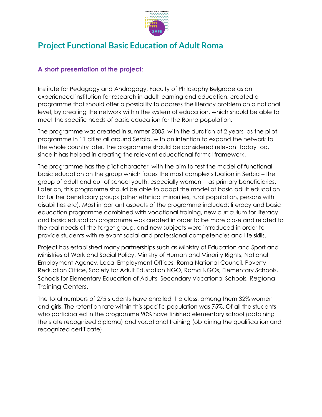

## **Project Functional Basic Education of Adult Roma**

#### **A short presentation of the project:**

Institute for Pedagogy and Andragogy, Faculty of Philosophy Belgrade as an experienced institution for research in adult learning and education. created a programme that should offer a possibility to address the literacy problem on a national level, by creating the network within the system of education, which should be able to meet the specific needs of basic education for the Roma population.

The programme was created in summer 2005, with the duration of 2 years, as the pilot programme in 11 cities all around Serbia, with an intention to expand the network to the whole country later. The programme should be considered relevant today too, since it has helped in creating the relevant educational formal framework.

The programme has the pilot character, with the aim to test the model of functional basic education on the group which faces the most complex situation in Serbia – the group of adult and out-of-school youth, especially women -- as primary beneficiaries. Later on, this programme should be able to adapt the model of basic adult education for further beneficiary groups (other ethnical minorities, rural population, persons with disabilities etc). Most important aspects of the programme included: literacy and basic education programme combined with vocational training, new curriculum for literacy and basic education programme was created in order to be more close and related to the real needs of the target group, and new subjects were introduced in order to provide students with relevant social and professional competencies and life skills.

Project has established many partnerships such as Ministry of Education and Sport and Ministries of Work and Social Policy, Ministry of Human and Minority Rights, National Employment Agency, Local Employment Offices, Roma National Council, Poverty Reduction Office, Society for Adult Education NGO, Roma NGOs, Elementary Schools, Schools for Elementary Education of Adults, Secondary Vocational Schools, Regional Training Centers.

The total numbers of 275 students have enrolled the class, among them 32% women and girls. The retention rate within this specific population was 75%. Of all the students who participated in the programme 90% have finished elementary school (obtaining the state recognized diploma) and vocational training (obtaining the qualification and recognized certificate).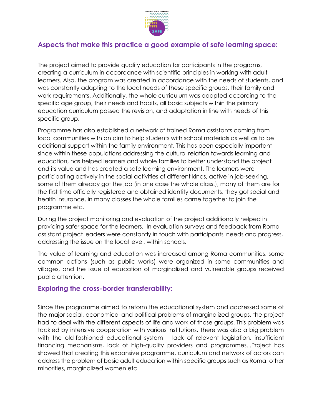

#### **Aspects that make this practice a good example of safe learning space:**

The project aimed to provide quality education for participants in the programs, creating a curriculum in accordance with scientific principles in working with adult learners. Also, the program was created in accordance with the needs of students, and was constantly adapting to the local needs of these specific groups, their family and work requirements. Additionally, the whole curriculum was adapted according to the specific age group, their needs and habits, all basic subjects within the primary education curriculum passed the revision, and adaptation in line with needs of this specific group.

Programme has also established a network of trained Roma assistants coming from local communities with an aim to help students with school materials as well as to be additional support within the family environment. This has been especially important since within these populations addressing the cultural relation towards learning and education, has helped learners and whole families to better understand the project and its value and has created a safe learning environment. The learners were participating actively in the social activities of different kinds, active in job-seeking, some of them already got the job (in one case the whole class!), many of them are for the first time officially registered and obtained identity documents, they got social and health insurance, in many classes the whole families came together to join the programme etc.

During the project monitoring and evaluation of the project additionally helped in providing safer space for the learners. In evaluation surveys and feedback from Roma assistant project leaders were constantly in touch with participants' needs and progress, addressing the issue on the local level, within schools.

The value of learning and education was increased among Roma communities, some common actions (such as public works) were organized in some communities and villages, and the issue of education of marginalized and vulnerable groups received public attention.

#### **Exploring the cross-border transferability:**

Since the programme aimed to reform the educational system and addressed some of the major social, economical and political problems of marginalized groups, the project had to deal with the different aspects of life and work of those groups. This problem was tackled by intensive cooperation with various institutions. There was also a big problem with the old-fashioned educational system – lack of relevant legislation, insufficient financing mechanisms, lack of high-quality providers and programmes...Project has showed that creating this expansive programme, curriculum and network of actors can address the problem of basic adult education within specific groups such as Roma, other minorities, marginalized women etc.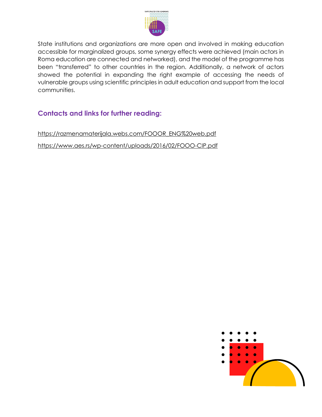

State institutions and organizations are more open and involved in making education accessible for marginalized groups, some synergy effects were achieved (main actors in Roma education are connected and networked), and the model of the programme has been "transferred" to other countries in the region. Additionally, a network of actors showed the potential in expanding the right example of accessing the needs of vulnerable groups using scientific principles in adult education and support from the local communities.

#### **Contacts and links for further reading:**

[https://razmenamaterijala.webs.com/FOOOR\\_ENG%20web.pdf](https://razmenamaterijala.webs.com/FOOOR_ENG%20web.pdf) <https://www.aes.rs/wp-content/uploads/2016/02/FOOO-CIP.pdf>

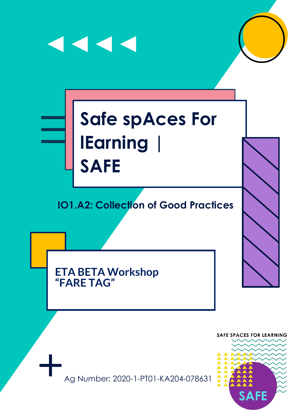# $\begin{array}{c} \hline \textbf{1} & \textbf{1} & \textbf{1} & \textbf{1} \\ \hline \textbf{2} & \textbf{1} & \textbf{1} & \textbf{1} & \textbf{1} \\ \hline \end{array}$ **Safe spAces For lEarning |**

# **IO1.A2: Collection of Good Practices**

**ETA BETA Workshop "FARE TAG"**

**SAFE**

Ag Number: 2020-1-PT01-KA204-078631

**SAFE SPACES FOR LEARNING**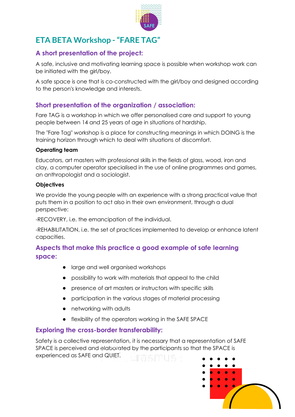

# **ETA BETA Workshop - "FARE TAG"**

#### **A short presentation of the project:**

A safe, inclusive and motivating learning space is possible when workshop work can be initiated with the girl/boy.

A safe space is one that is co-constructed with the girl/boy and designed according to the person's knowledge and interests.

#### **Short presentation of the organization / association:**

Fare TAG is a workshop in which we offer personalised care and support to young people between 14 and 25 years of age in situations of hardship.

The "Fare Tag" workshop is a place for constructing meanings in which DOING is the training horizon through which to deal with situations of discomfort.

#### **Operating team**

Educators, art masters with professional skills in the fields of glass, wood, iron and clay, a computer operator specialised in the use of online programmes and games, an anthropologist and a sociologist.

#### **Objectives**

We provide the young people with an experience with a strong practical value that puts them in a position to act also in their own environment, through a dual perspective:

-RECOVERY, i.e. the emancipation of the individual.

-REHABILITATION, i.e. the set of practices implemented to develop or enhance latent capacities.

#### **Aspects that make this practice a good example of safe learning space:**

- large and well organised workshops
- possibility to work with materials that appeal to the child
- presence of art masters or instructors with specific skills
- participation in the various stages of material processing
- networking with adults
- flexibility of the operators working in the SAFE SPACE

#### **Exploring the cross-border transferability:**

Safety is a collective representation, it is necessary that a representation of SAFE SPACE is perceived and elaborated by the participants so that the SPACE is experienced as SAFE and QUIET.

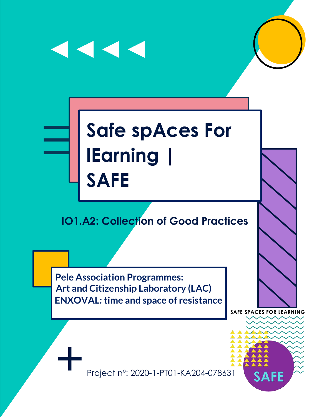

**Art and Citizenship Laboratory (LAC) ENXOVAL: time and space of resistance Pele Association Programmes:**

**SAFE SPACES FOR LEARNING** 

SД

Project n°: 2020-1-PT01-KA204-078631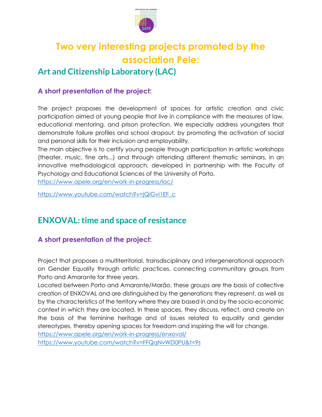

# **Two very interesting projects promoted by the association Pele:**

### **Art and Citizenship Laboratory (LAC)**

#### **A short presentation of the project:**

The project proposes the development of spaces for artistic creation and civic participation aimed at young people that live in compliance with the measures of law, educational mentoring, and prison protection. We especially address youngsters that demonstrate failure profiles and school dropout, by promoting the activation of social and personal skills for their inclusion and employability.

The main objective is to certify young people through participation in artistic workshops (theater, music, fine arts...) and through attending different thematic seminars, in an innovative methodological approach, developed in partnership with the Faculty of Psychology and Educational Sciences of the University of Porto.

<https://www.apele.org/en/work-in-progress/lac/>

[https://www.youtube.com/watch?v=jQiGvi1EF\\_c](https://www.youtube.com/watch?v=jQiGvi1EF_c)

## **ENXOVAL: time and space of resistance**

#### **A short presentation of the project:**

Project that proposes a multiterritorial, transdisciplinary and intergenerational approach on Gender Equality through artistic practices, connecting communitary groups from Porto and Amarante for three years.

Located between Porto and Amarante/Marão, these groups are the basis of collective creation of ENXOVAL and are distinguished by the generations they represent, as well as by the characteristics of the territory where they are based in and by the socio-economic context in which they are located. In these spaces, they discuss, reflect, and create on the basis of the feminine heritage and of issues related to equality and gender stereotypes, thereby opening spaces for freedom and inspiring the will for change.

<https://www.apele.org/en/work-in-progress/enxoval/>

<https://www.youtube.com/watch?v=FFQqNvWD0PU&t=9s>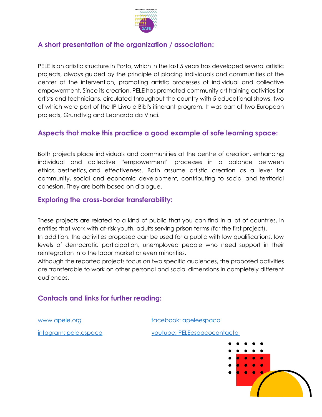

#### **A short presentation of the organization / association:**

PELE is an artistic structure in Porto, which in the last 5 years has developed several artistic projects, always guided by the principle of placing individuals and communities at the center of the intervention, promoting artistic processes of individual and collective empowerment. Since its creation, PELE has promoted community art training activities for artists and technicians, circulated throughout the country with 5 educational shows, two of which were part of the IP Livro e Bibl's itinerant program. It was part of two European projects, Grundtvig and Leonardo da Vinci.

#### **Aspects that make this practice a good example of safe learning space:**

Both projects place individuals and communities at the centre of creation, enhancing individual and collective "empowerment" processes in a balance between ethics, aesthetics, and effectiveness. Both assume artistic creation as a lever for community, social and economic development, contributing to social and territorial cohesion. They are both based on dialogue.

#### **Exploring the cross-border transferability:**

These projects are related to a kind of public that you can find in a lot of countries, in entities that work with at-risk youth, adults serving prison terms (for the first project). In addition, the activities proposed can be used for a public with low qualifications, low levels of democratic participation, unemployed people who need support in their reintegration into the labor market or even minorities.

Although the reported projects focus on two specific audiences, the proposed activities are transferable to work on other personal and social dimensions in completely different audiences.

#### **Contacts and links for further reading:**

[www.apele.org](http://www.apele.org/) [facebook: apeleespaco](https://www.facebook.com/apeleespaco/)

[intagram: pele.espaco](http://intagram.com/pele.espaco) [youtube: PELEespacocontacto](http://youtube.com/PELEespacocontacto)

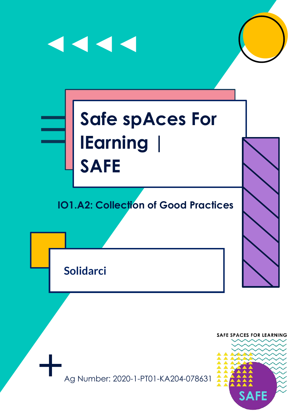

Ag Number: 2020-1-PT01-KA204-078631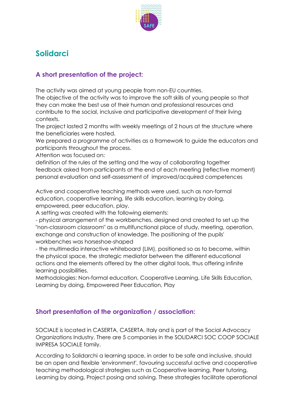

# **Solidarci**

#### **A short presentation of the project:**

The activity was aimed at young people from non-EU countries.

The objective of the activity was to improve the soft skills of young people so that they can make the best use of their human and professional resources and contribute to the social, inclusive and participative development of their living contexts.

The project lasted 2 months with weekly meetings of 2 hours at the structure where the beneficiaries were hosted.

We prepared a programme of activities as a framework to guide the educators and participants throughout the process.

Attention was focused on:

definition of the rules of the setting and the way of collaborating together feedback asked from participants at the end of each meeting (reflective moment) personal evaluation and self-assessment of improved/acquired competences

Active and cooperative teaching methods were used, such as non-formal education, cooperative learning, life skills education, learning by doing, empowered, peer education, play.

A setting was created with the following elements:

- physical arrangement of the workbenches, designed and created to set up the "non-classroom classroom" as a multifunctional place of study, meeting, operation, exchange and construction of knowledge. The positioning of the pupils' workbenches was horseshoe-shaped

- the multimedia interactive whiteboard (LIM), positioned so as to become, within the physical space, the strategic mediator between the different educational actions and the elements offered by the other digital tools, thus offering infinite learning possibilities.

Methodologies: Non-formal education, Cooperative Learning, Life Skills Education, Learning by doing, Empowered Peer Education, Play

#### **Short presentation of the organization / association:**

SOCIALE is located in CASERTA, CASERTA, Italy and is part of the Social Advocacy Organizations Industry. There are 5 companies in the SOLIDARCI SOC COOP SOCIALE IMPRESA SOCIALE family.

According to Solidarchi a learning space, in order to be safe and inclusive, should be an open and flexible 'environment', favouring successful active and cooperative teaching methodological strategies such as Cooperative learning, Peer tutoring, Learning by doing, Project posing and solving. These strategies facilitate operational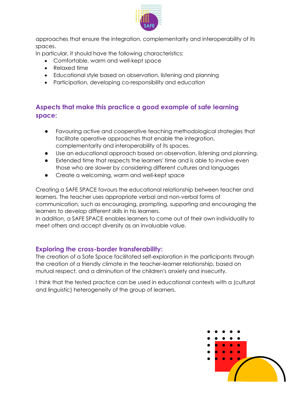

approaches that ensure the integration, complementarity and interoperability of its spaces.

In particular, it should have the following characteristics:

- Comfortable, warm and well-kept space
- Relaxed time
- Educational style based on observation, listening and planning
- Participation, developing co-responsibility and education

#### **Aspects that make this practice a good example of safe learning space:**

- Favouring active and cooperative teaching methodological strategies that facilitate operative approaches that enable the integration, complementarity and interoperability of its spaces.
- Use an educational approach based on observation, listening and planning.
- Extended time that respects the learners' time and is able to involve even those who are slower by considering different cultures and languages
- Create a welcoming, warm and well-kept space

Creating a SAFE SPACE favours the educational relationship between teacher and learners. The teacher uses appropriate verbal and non-verbal forms of communication, such as encouraging, prompting, supporting and encouraging the learners to develop different skills in his learners.

In addition, a SAFE SPACE enables learners to come out of their own individuality to meet others and accept diversity as an invaluable value.

#### **Exploring the cross-border transferability:**

The creation of a Safe Space facilitated self-exploration in the participants through the creation of a friendly climate in the teacher-learner relationship, based on mutual respect, and a diminution of the children's anxiety and insecurity.

I think that the tested practice can be used in educational contexts with a (cultural and linguistic) heterogeneity of the group of learners.

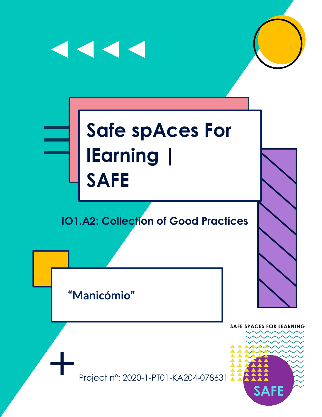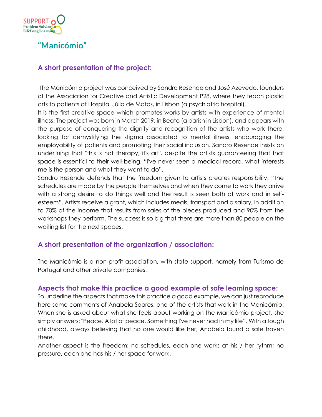

**"Manicómio"**

#### **A short presentation of the project:**

The Manicómio project was conceived by Sandro Resende and José Azevedo, founders of the Association for Creative and Artistic Development P28, where they teach plastic arts to patients at Hospital Júlio de Matos, in Lisbon (a psychiatric hospital).

It is the first creative space which promotes works by artists with experience of mental illness. The project was born in March 2019, in Beato (a parish in Lisbon), and appears with the purpose of conquering the dignity and recognition of the artists who work there, looking for demystifying the stigma associated to mental illness, encouraging the employability of patients and promoting their social inclusion. Sandro Resende insists on underlining that "this is not therapy, it's art", despite the artists guaranteeing that that space is essential to their well-being. "I've never seen a medical record, what interests me is the person and what they want to do".

Sandro Resende defends that the freedom given to artists creates responsibility. "The schedules are made by the people themselves and when they come to work they arrive with a strong desire to do things well and the result is seen both at work and in selfesteem". Artists receive a grant, which includes meals, transport and a salary, in addition to 70% of the income that results from sales of the pieces produced and 90% from the workshops they perform. The success is so big that there are more than 80 people on the waiting list for the next spaces.

#### **A short presentation of the organization / association:**

The Manicómio is a non-profit association, with state support, namely from Turismo de Portugal and other private companies.

#### **Aspects that make this practice a good example of safe learning space:**

To underline the aspects that make this practice a godd example, we can just reproduce here some comments of Anabela Soares, one of the artists that work in the Manicómio: When she is asked about what she feels about working on the Manicómio project, she simply answers: "Peace. A lot of peace. Something I've never had in my life". With a tough childhood, always believing that no one would like her, Anabela found a safe haven there.

Another aspect is the freedom: no schedules, each one works at his / her rythm; no pressure, each one has his / her space for work.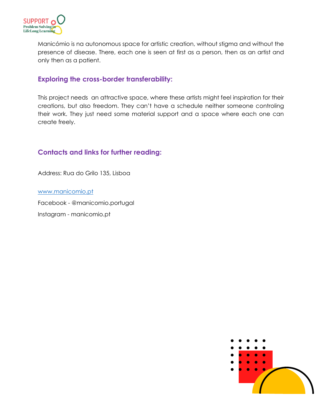

Manicómio is na autonomous space for artistic creation, without stigma and without the presence of disease. There, each one is seen at first as a person, then as an artist and only then as a patient.

#### **Exploring the cross-border transferability:**

This project needs an attractive space, where these artists might feel inspiration for their creations, but also freedom. They can't have a schedule neither someone controling their work. They just need some material support and a space where each one can create freely.

#### **Contacts and links for further reading:**

Address: Rua do Grilo 135, Lisboa

[www.manicomio.pt](http://www.manicomio.pt/)

Facebook - [@manicomio.portugal](https://www.facebook.com/pg/manicomio.portugal/about/?ref=page_internal)

Instagram - [manicomio.pt](https://www.instagram.com/manicomio.pt/)

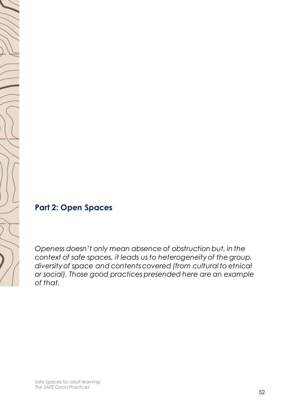<span id="page-26-0"></span>

*Openess doesn't only mean absence of obstruction but, in the context of safe spaces, it leads us to heterogeneity of the group, diversity of space and contents covered (from cultural to etnical or social). Those good practices presended here are an example of that.*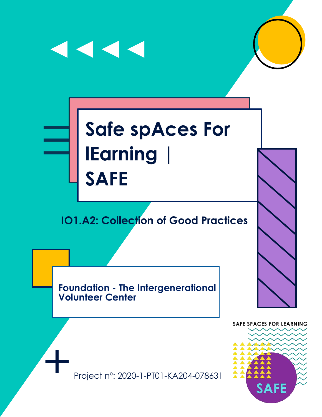

**Foundation - The Intergenerational Volunteer Center**

**SAFE SPACES FOR LEARNING** 



Project nº: 2020-1-PT01-KA204-078631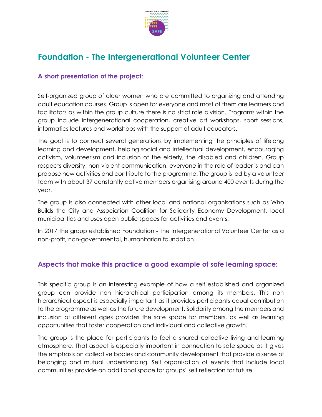

# **Foundation - The Intergenerational Volunteer Center**

#### **A short presentation of the project:**

Self-organized group of older women who are committed to organizing and attending adult education courses. Group is open for everyone and most of them are learners and facilitators as within the group culture there is no strict role division. Programs within the group include intergenerational cooperation, creative art workshops, sport sessions, informatics lectures and workshops with the support of adult educators.

The goal is to connect several generations by implementing the principles of lifelong learning and development, helping social and intellectual development, encouraging activism, volunteerism and inclusion of the elderly, the disabled and children. Group respects diversity, non-violent communication, everyone in the role of leader is and can propose new activities and contribute to the programme. The group is led by a volunteer team with about 37 constantly active members organising around 400 events during the year.

The group is also connected with other local and national organisations such as [Who](https://www.kogradigrad.org/o-nama/)  [Builds the City](https://www.kogradigrad.org/o-nama/) and [Association Coalition for Solidarity Economy Development,](https://solidarnaekonomija.rs/en/main/) local municipalities and uses open public spaces for activities and events.

In 2017 the group established Foundation - The Intergenerational Volunteer Center as a non-profit, non-governmental, humanitarian foundation.

#### **Aspects that make this practice a good example of safe learning space:**

This specific group is an interesting example of how a self established and organized group can provide non hierarchical participation among its members. This non hierarchical aspect is especially important as it provides participants equal contribution to the programme as well as the future development. Solidarity among the members and inclusion of different ages provides the safe space for members, as well as learning opportunities that foster cooperation and individual and collective growth.

The group is the place for participants to feel a shared collective living and learning atmosphere. That aspect is especially important in connection to safe space as it gives the emphasis on collective bodies and community development that provide a sense of belonging and mutual understanding. Self organisation of events that include local communities provide an additional space for groups' self reflection for future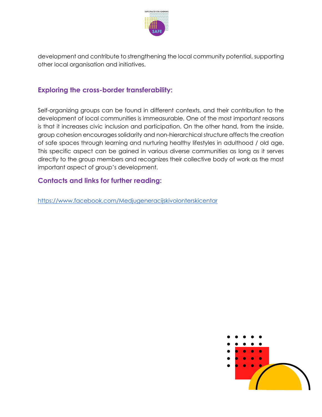

development and contribute to strengthening the local community potential, supporting other local organisation and initiatives.

#### **Exploring the cross-border transferability:**

Self-organizing groups can be found in different contexts, and their contribution to the development of local communities is immeasurable. One of the most important reasons is that it increases civic inclusion and participation. On the other hand, from the inside, group cohesion encourages solidarity and non-hierarchical structure affects the creation of safe spaces through learning and nurturing healthy lifestyles in adulthood / old age. This specific aspect can be gained in various diverse communities as long as it serves directly to the group members and recognizes their collective body of work as the most important aspect of group's development.

#### **Contacts and links for further reading:**

<https://www.facebook.com/Medjugeneracijskivolonterskicentar>

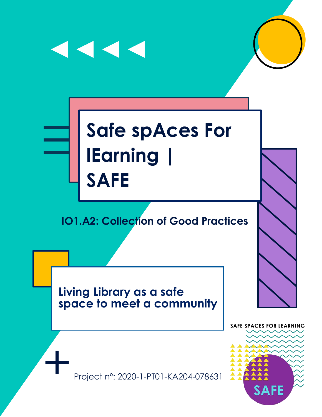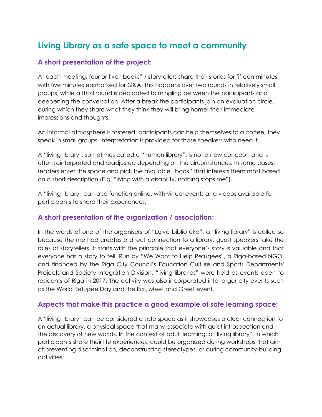# **Living Library as a safe space to meet a community**

#### **A short presentation of the project:**

At each meeting, four or five "books" / storytellers share their stories for fifteen minutes, with five minutes earmarked for Q&A. This happens over two rounds in relatively small groups, while a third round is dedicated to mingling between the participants and deepening the conversation. After a break the participants join an evaluation circle, during which they share what they think they will bring home: their immediate impressions and thoughts,

An informal atmosphere is fostered: participants can help themselves to a coffee, they speak in small groups. Interpretation is provided for those speakers who need it.

A "living library", sometimes called a "human library", is not a new concept, and is often reinterpreted and readjusted depending on the circumstances. In some cases, readers enter the space and pick the available "book" that interests them most based on a short description (E.g. "living with a disability, nothing stops me").

A "living library" can also function online, with virtual events and videos available for participants to share their experiences.

#### **A short presentation of the organization / association:**

In the words of one of the organisers of "Dzīvā bibliotēka", a "living library" is called so because the method creates a direct connection to a library: guest speakers take the roles of storytellers. It starts with the principle that everyone's story is valuable and that everyone has a story to tell. Run by "We Want to Help Refugees", a Riga-based NGO, and financed by the Rīga City Council's Education Culture and Sports Departments' Projects and Society Integration Division, "living libraries" were held as events open to residents of Riga in 2017. The activity was also incorporated into larger city events such as the World Refugee Day and the Eat, Meet and Greet event.

#### **Aspects that make this practice a good example of safe learning space:**

A "living library" can be considered a safe space as it showcases a clear connection to an actual library, a physical space that many associate with quiet introspection and the discovery of new worlds. In the context of adult learning, a "living library", in which participants share their life experiences, could be organized during workshops that aim at preventing discrimination, deconstructing stereotypes, or during community-building activities.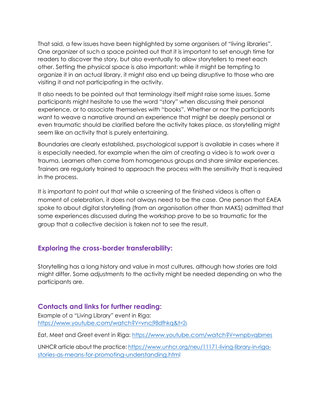That said, a few issues have been highlighted by some organisers of "living libraries". One organizer of such a space pointed out that it is important to set enough time for readers to discover the story, but also eventually to allow storytellers to meet each other. Setting the physical space is also important: while it might be tempting to organize it in an actual library, it might also end up being disruptive to those who are visiting it and not participating in the activity.

It also needs to be pointed out that terminology itself might raise some issues. Some participants might hesitate to use the word "story" when discussing their personal experience, or to associate themselves with "books". Whether or nor the participants want to weave a narrative around an experience that might be deeply personal or even traumatic should be clarified before the activity takes place, as storytelling might seem like an activity that is purely entertaining.

Boundaries are clearly established, psychological support is available in cases where it is especially needed, for example when the aim of creating a video is to work over a trauma. Learners often come from homogenous groups and share similar experiences. Trainers are regularly trained to approach the process with the sensitivity that is required in the process.

It is important to point out that while a screening of the finished videos is often a moment of celebration, it does not always need to be the case. One person that EAEA spoke to about digital storytelling (from an organisation other than MAKS) admitted that some experiences discussed during the workshop prove to be so traumatic for the group that a collective decision is taken not to see the result.

#### **Exploring the cross-border transferability:**

Storytelling has a long history and value in most cultures, although how stories are told might differ. Some adjustments to the activity might be needed depending on who the participants are.

#### **Contacts and links for further reading:**

Example of a "Living Library" event in Riga: [https://www.youtube.com/watch?V=vncj98dfhkq&t=2s](https://www.youtube.com/watch?v=VNCj98dFhKQ&t=2s)

Eat, Meet and Greet event in Riga: [https://www.youtube.com/watch?V=wnpbvqbrnes](https://www.youtube.com/watch?v=WNPBvqbrNes)

UNHCR article about the practice: [https://www.unhcr.org/neu/11171-living-library-in-riga](https://www.unhcr.org/neu/11171-living-library-in-riga-stories-as-means-for-promoting-understanding.html)[stories-as-means-for-promoting-understanding.html](https://www.unhcr.org/neu/11171-living-library-in-riga-stories-as-means-for-promoting-understanding.html)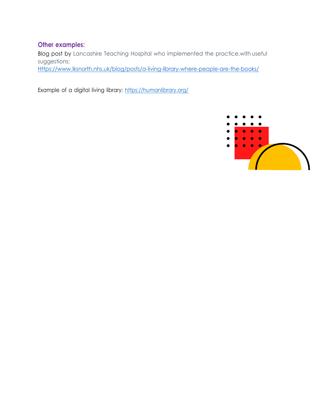#### **Other examples:**

Blog post by Lancashire Teaching Hospital who implemented the practice,with useful suggestions:

[Https://www.lksnorth.nhs.uk/blog/posts/a-living-library-where-people-are-the-books/](https://www.lksnorth.nhs.uk/blog/posts/a-living-library-where-people-are-the-books/)

Example of a digital living library: <https://humanlibrary.org/>

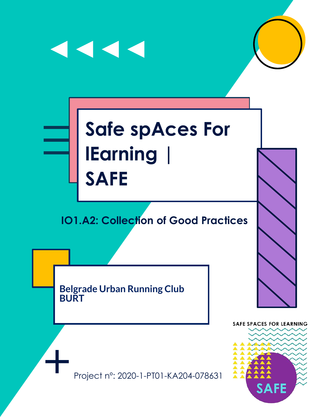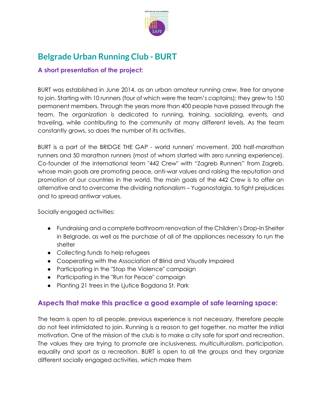

# **Belgrade Urban Running Club - BURT**

#### **A short presentation of the project:**

BURT was established in June 2014, as an urban amateur running crew, free for anyone to join. Starting with 10 runners (four of which were the team's captains); they grew to 150 permanent members. Through the years more than 400 people have passed through the team. The organization is dedicated to running, training, socializing, events, and traveling, while contributing to the community at many different levels. As the team constantly grows, so does the number of its activities.

BURT is a part of the BRIDGE THE GAP - world runners' movement. 200 half-marathon runners and 50 marathon runners (most of whom started with zero running experience). Co-founder of the international team "442 Crew" with "Zagreb Runners" from Zagreb, whose main goals are promoting peace, anti-war values and raising the reputation and promotion of our countries in the world. The main goals of the 442 Crew is to offer an alternative and to overcome the dividing nationalism – Yugonostalgia, to fight prejudices and to spread antiwar values.

Socially engaged activities:

- Fundraising and a complete bathroom renovation of the Children's Drop-In Shelter in Belgrade, as well as the purchase of all of the appliances necessary to run the shelter
- Collecting funds to help refugees
- Cooperating with the Association of Blind and Visually Impaired
- Participating in the "Stop the Violence" campaign
- Participating in the "Run for Peace" campaign
- Planting 21 trees in the Ljutice Bogdana St. Park

#### **Aspects that make this practice a good example of safe learning space:**

The team is open to all people, previous experience is not necessary, therefore people do not feel intimidated to join. Running is a reason to get together, no matter the initial motivation. One of the mission of the club is to make a city safe for sport and recreation. The values they are trying to promote are inclusiveness, multiculturalism, participation, equality and sport as a recreation. BURT is open to all the groups and they organize different socially engaged activities, which make them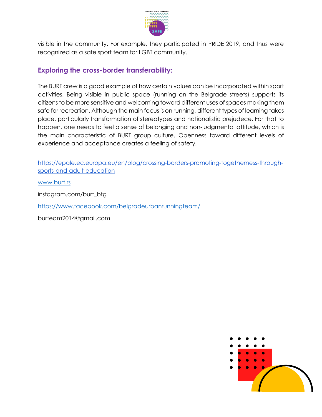

visible in the community. For example, they participated in PRIDE 2019, and thus were recognized as a safe sport team for LGBT community.

#### **Exploring the cross-border transferability:**

The BURT crew is a good example of how certain values can be incorporated within sport activities. Being visible in public space (running on the Belgrade streets) supports its citizens to be more sensitive and welcoming toward different uses of spaces making them safe for recreation. Although the main focus is on running, different types of learning takes place, particularly transformation of stereotypes and nationalistic prejudece. For that to happen, one needs to feel a sense of belonging and non-judgmental attitude, which is the main characteristic of BURT group culture. Openness toward different levels of experience and acceptance creates a feeling of safety.

[https://epale.ec.europa.eu/en/blog/crossing-borders-promoting-togetherness-through](https://epale.ec.europa.eu/en/blog/crossing-borders-promoting-togetherness-through-sports-and-adult-education)[sports-and-adult-education](https://epale.ec.europa.eu/en/blog/crossing-borders-promoting-togetherness-through-sports-and-adult-education)

[www.burt.rs](http://www.burt.rs/)

[instagram.com/burt\\_btg](http://instagram.com/burt_btg)

<https://www.facebook.com/belgradeurbanrunningteam/>

[burteam2014@gmail.com](mailto:burteam2014@gmail.com)

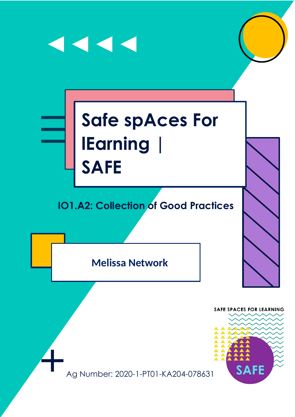# 1111 **Safe spAces For lEarning | SAFE IO1.A2: Collection of Good Practices**

**Melissa Network**

**SAFE SPACES FOR LEARNING** SAFE Ag Number: 2020-1-PT01-KA204-078631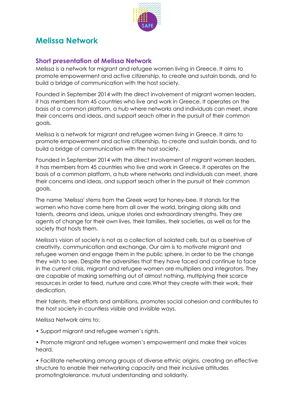

## **Melissa Network**

#### **Short presentation of Melissa Network**

Melissa is a network for migrant and refugee women living in Greece. It aims to promote empowerment and active citizenship, to create and sustain bonds, and to build a bridge of communication with the host society.

Founded in September 2014 with the direct involvement of migrant women leaders, it has members from 45 countries who live and work in Greece. It operates on the basis of a common platform, a hub where networks and individuals can meet, share their concerns and ideas, and support seach other in the pursuit of their common goals.

Melissa is a network for migrant and refugee women living in Greece. It aims to promote empowerment and active citizenship, to create and sustain bonds, and to build a bridge of communication with the host society.

Founded in September 2014 with the direct involvement of migrant women leaders, it has members from 45 countries who live and work in Greece. It operates on the basis of a common platform, a hub where networks and individuals can meet, share their concerns and ideas, and support seach other in the pursuit of their common goals.

The name 'Melissa' stems from the Greek word for honey-bee. It stands for the women who have come here from all over the world, bringing along skills and talents, dreams and ideas, unique stories and extraordinary strengths. They are agents of change for their own lives, their families, their societies, as well as for the society that hosts them.

Melissa's vision of society is not as a collection of isolated cells, but as a beehive of creativity, communication and exchange. Our aim is to motivate migrant and refugee women and engage them in the public sphere, in order to be the change they wish to see. Despite the adversities that they have faced and continue to face in the current crisis, migrant and refugee women are multipliers and integrators. They are capable of making something out of almost nothing, multiplying their scarce resources in order to feed, nurture and care.What they create with their work, their dedication,

their talents, their efforts and ambitions, promotes social cohesion and contributes to the host society in countless visible and invisible ways.

Melissa Network aims to:

• Support migrant and refugee women's rights.

• Promote migrant and refugee women's empowerment and make their voices heard.

• Facilitate networking among groups of diverse ethnic origins, creating an effective structure to enable their networking capacity and their inclusive attitudes promotingtolerance, mutual understanding and solidarity.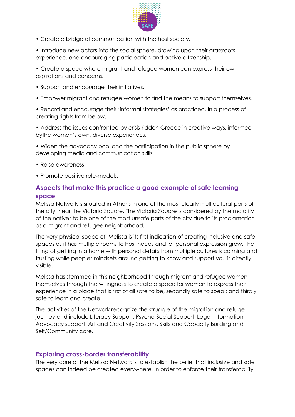

• Create a bridge of communication with the host society.

• Introduce new actors into the social sphere, drawing upon their grassroots experience, and encouraging participation and active citizenship.

• Create a space where migrant and refugee women can express their own aspirations and concerns.

- Support and encourage their initiatives.
- Empower migrant and refugee women to find the means to support themselves.

• Record and encourage their 'informal strategies' as practiced, in a process of creating rights from below.

• Address the issues confronted by crisis-ridden Greece in creative ways, informed bythe women's own, diverse experiences.

• Widen the advocacy pool and the participation in the public sphere by developing media and communication skills.

- Raise awareness.
- Promote positive role-models.

#### **Aspects that make this practice a good example of safe learning space**

Melissa Network is situated in Athens in one of the most clearly multicultural parts of the city, near the Victoria Square. The Victoria Square is considered by the majority of the natives to be one of the most unsafe parts of the city due to its proclamation as a migrant and refugee neighborhood.

The very physical space of Melissa is its first indication of creating inclusive and safe spaces as it has multiple rooms to host needs and let personal expression grow. The filling of getting in a home with personal details from multiple cultures is calming and trusting while peoples mindsets around getting to know and support you is directly visible.

Melissa has stemmed in this neighborhood through migrant and refugee women themselves through the willingness to create a space for women to express their experience in a place that is first of all safe to be, secondly safe to speak and thirdly safe to learn and create.

The activities of the Network recognize the struggle of the migration and refuge journey and include Literacy Support, Psycho-Social Support, Legal Information, Advocacy support, Art and Creativity Sessions, Skills and Capacity Building and Self/Community care.

#### **Exploring cross-border transferability**

The very core of the Melissa Network is to establish the belief that inclusive and safe spaces can indeed be created everywhere. In order to enforce their transferability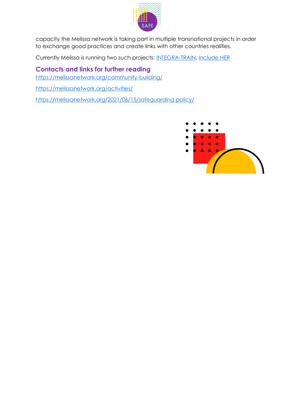

capacity the Melissa network is taking part in multiple transnational projects in order to exchange good practices and create links with other countries realities.

Currently Melissa is running two such projects: [INTEGRA-TRAIN,](https://melissanetwork.org/2019/07/12/integra-train/) [Include HER](https://melissanetwork.org/2021/03/26/include-her/)

**Contacts and links for further reading** <https://melissanetwork.org/community-building/> <https://melissanetwork.org/activities/>

<https://melissanetwork.org/2021/06/15/safeguarding-policy/>

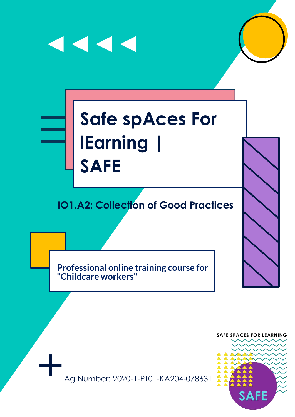## $\blacktriangleleft$   $\blacktriangleleft$   $\blacktriangleleft$

## **Safe spAces For lEarning | SAFE**

## **IO1.A2: Collection of Good Practices**

**Professional online training course for "Childcare workers"**



Ag Number: 2020-1-PT01-KA204-078631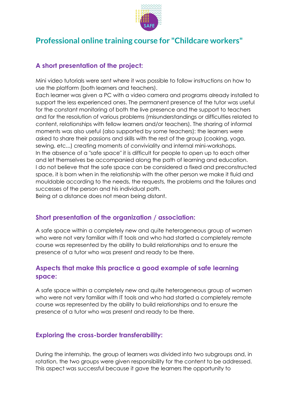

### **Professional online training course for "Childcare workers"**

#### **A short presentation of the project:**

Mini video tutorials were sent where it was possible to follow instructions on how to use the platform (both learners and teachers).

Each learner was given a PC with a video camera and programs already installed to support the less experienced ones. The permanent presence of the tutor was useful for the constant monitoring of both the live presence and the support to teachers and for the resolution of various problems (misunderstandings or difficulties related to content, relationships with fellow learners and/or teachers). The sharing of informal moments was also useful (also supported by some teachers): the learners were asked to share their passions and skills with the rest of the group (cooking, yoga, sewing, etc...) creating moments of conviviality and internal mini-workshops. In the absence of a "safe space" it is difficult for people to open up to each other and let themselves be accompanied along the path of learning and education. I do not believe that the safe space can be considered a fixed and preconstructed space, it is born when in the relationship with the other person we make it fluid and mouldable according to the needs, the requests, the problems and the failures and successes of the person and his individual path.

Being at a distance does not mean being distant.

#### **Short presentation of the organization / association:**

A safe space within a completely new and quite heterogeneous group of women who were not very familiar with IT tools and who had started a completely remote course was represented by the ability to build relationships and to ensure the presence of a tutor who was present and ready to be there.

#### **Aspects that make this practice a good example of safe learning space:**

A safe space within a completely new and quite heterogeneous group of women who were not very familiar with IT tools and who had started a completely remote course was represented by the ability to build relationships and to ensure the presence of a tutor who was present and ready to be there.

#### **Exploring the cross-border transferability:**

During the internship, the group of learners was divided into two subgroups and, in rotation, the two groups were given responsibility for the content to be addressed. This aspect was successful because it gave the learners the opportunity to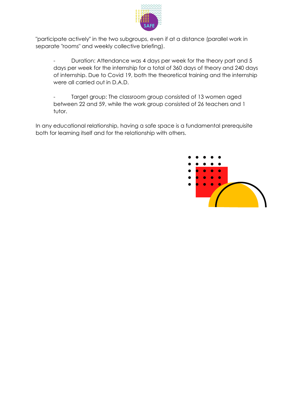

"participate actively" in the two subgroups, even if at a distance (parallel work in separate "rooms" and weekly collective briefing).

Duration: Attendance was 4 days per week for the theory part and 5 days per week for the internship for a total of 360 days of theory and 240 days of internship. Due to Covid 19, both the theoretical training and the internship were all carried out in D.A.D.

Target group: The classroom group consisted of 13 women aged between 22 and 59, while the work group consisted of 26 teachers and 1 tutor.

In any educational relationship, having a safe space is a fundamental prerequisite both for learning itself and for the relationship with others.

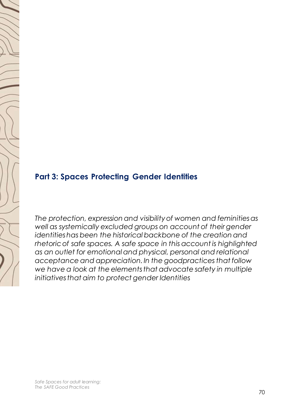

## **Part 3: Spaces Protecting Gender Identities**

*The protection, expression and visibility of women and feminities as*  well as systemically excluded groups on account of their gender *identities has been the historical backbone of the creation and rhetoric of safe spaces. A safe space in this account is highlighted as an outlet for emotional and physical, personal and relational acceptance and appreciation. In the goodpractices that follow we have a look at the elements that advocate safety in multiple initiatives that aim to protect gender Identities*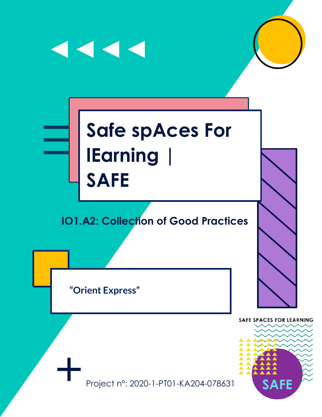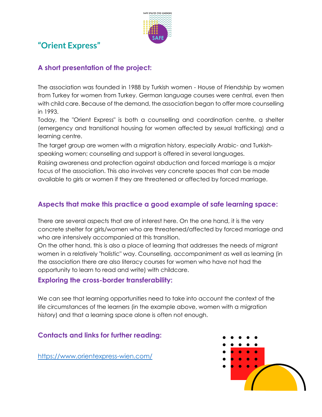

## **"Orient Express"**

#### **A short presentation of the project:**

The association was founded in 1988 by Turkish women - House of Friendship by women from Turkey for women from Turkey. German language courses were central, even then with child care. Because of the demand, the association began to offer more counselling in 1993.

Today, the "Orient Express" is both a counselling and coordination centre, a shelter (emergency and transitional housing for women affected by sexual trafficking) and a learning centre.

The target group are women with a migration history, especially Arabic- and Turkishspeaking women; counselling and support is offered in several languages.

Raising awareness and protection against abduction and forced marriage is a major focus of the association. This also involves very concrete spaces that can be made available to girls or women if they are threatened or affected by forced marriage.

#### **Aspects that make this practice a good example of safe learning space:**

There are several aspects that are of interest here. On the one hand, it is the very concrete shelter for girls/women who are threatened/affected by forced marriage and who are intensively accompanied at this transition.

On the other hand, this is also a place of learning that addresses the needs of migrant women in a relatively "holistic" way. Counselling, accompaniment as well as learning (in the association there are also literacy courses for women who have not had the opportunity to learn to read and write) with childcare.

#### **Exploring the cross-border transferability:**

We can see that learning opportunities need to take into account the context of the life circumstances of the learners (in the example above, women with a migration history) and that a learning space alone is often not enough.

#### **Contacts and links for further reading:**

<https://www.orientexpress-wien.com/>

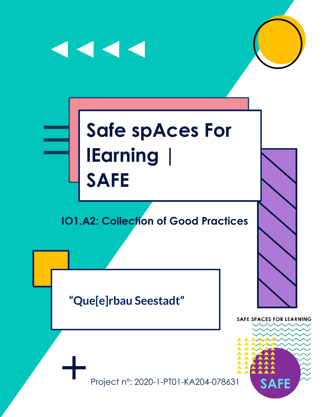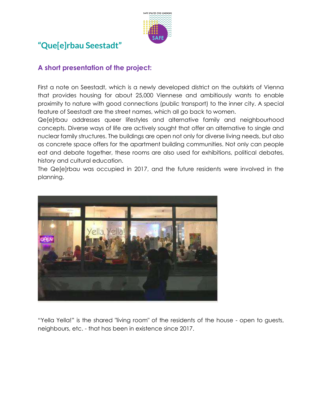

## **"Que[e]rbau Seestadt"**

#### **A short presentation of the project:**

First a note on Seestadt, which is a newly developed district on the outskirts of Vienna that provides housing for about 25,000 Viennese and ambitiously wants to enable proximity to nature with good connections (public transport) to the inner city. A special feature of Seestadt are the street names, which all go back to women.

Qe[e]rbau addresses queer lifestyles and alternative family and neighbourhood concepts. Diverse ways of life are actively sought that offer an alternative to single and nuclear family structures. The buildings are open not only for diverse living needs, but also as concrete space offers for the apartment building communities. Not only can people eat and debate together, these rooms are also used for exhibitions, political debates, history and cultural education.

The Qe[e]rbau was occupied in 2017, and the future residents were involved in the planning.



"Yella Yella!" is the shared "living room" of the residents of the house - open to guests, neighbours, etc. - that has been in existence since 2017.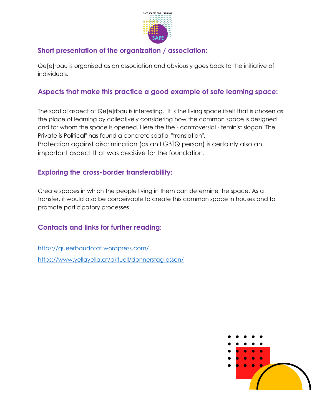

#### **Short presentation of the organization / association:**

Qe[e]rbau is organised as an association and obviously goes back to the initiative of individuals.

#### **Aspects that make this practice a good example of safe learning space:**

The spatial aspect of Qe[e]rbau is interesting. It is the living space itself that is chosen as the place of learning by collectively considering how the common space is designed and for whom the space is opened. Here the the - controversial - feminist slogan "The Private is Political" has found a concrete spatial "translation".

Protection against discrimination (as an LGBTQ person) is certainly also an important aspect that was decisive for the foundation.

#### **Exploring the cross-border transferability:**

Create spaces in which the people living in them can determine the space. As a transfer, it would also be conceivable to create this common space in houses and to promote participatory processes.

#### **Contacts and links for further reading:**

<https://queerbaudotat.wordpress.com/> <https://www.yellayella.at/aktuell/donnerstag-essen/>

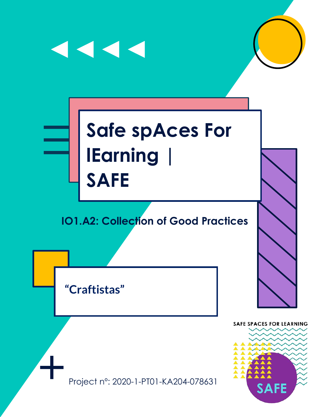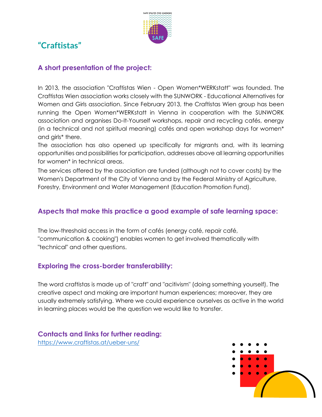

## **"Craftistas"**

#### **A short presentation of the project:**

In 2013, the association "Craftistas Wien - Open Women\*WERKstatt" was founded. The Craftistas Wien association works closely with the SUNWORK - Educational Alternatives for Women and Girls association. Since February 2013, the Craftistas Wien group has been running the Open Women\*WERKstatt in Vienna in cooperation with the SUNWORK association and organises Do-It-Yourself workshops, repair and recycling cafés, energy (in a technical and not spiritual meaning) cafés and open workshop days for women\* and girls\* there.

The association has also opened up specifically for migrants and, with its learning opportunities and possibilities for participation, addresses above all learning opportunities for women\* in technical areas.

The services offered by the association are funded (although not to cover costs) by the Women's Department of the City of Vienna and by the Federal Ministry of Agriculture, Forestry, Environment and Water Management (Education Promotion Fund).

#### **Aspects that make this practice a good example of safe learning space:**

The low-threshold access in the form of cafés (energy café, repair café, "communication & cooking") enables women to get involved thematically with "technical" and other questions.

#### **Exploring the cross-border transferability:**

The word craftistas is made up of "craft" and "acitivism" (doing something yourself). The creative aspect and making are important human experiences; moreover, they are usually extremely satisfying. Where we could experience ourselves as active in the world in learning places would be the question we would like to transfer.

#### **Contacts and links for further reading:** <https://www.craftistas.at/ueber-uns/>

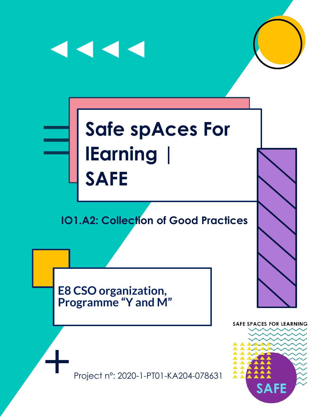

Project n°: 2020-1-PT01-KA204-078631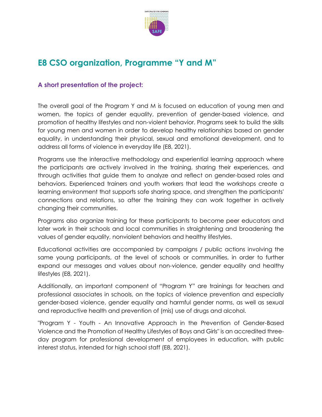

## **E8 CSO organization, Programme "Y and M"**

#### **A short presentation of the project:**

The overall goal of the Program Y and M is focused on education of young men and women, the topics of gender equality, prevention of gender-based violence, and promotion of healthy lifestyles and non-violent behavior. Programs seek to build the skills for young men and women in order to develop healthy relationships based on gender equality, in understanding their physical, sexual and emotional development, and to address all forms of violence in everyday life (E8, 2021).

Programs use the interactive methodology and experiential learning approach where the participants are actively involved in the training, sharing their experiences, and through activities that guide them to analyze and reflect on gender-based roles and behaviors. Experienced trainers and youth workers that lead the workshops create a learning environment that supports safe sharing space, and strengthen the participants' connections and relations, so after the training they can work together in actively changing their communities.

Programs also organize training for these participants to become peer educators and later work in their schools and local communities in straightening and broadening the values of gender equality, nonviolent behaviors and healthy lifestyles.

Educational activities are accompanied by campaigns / public actions involving the same young participants, at the level of schools or communities, in order to further expand our messages and values about non-violence, gender equality and healthy lifestyles (E8, 2021).

Additionally, an important component of "Program Y" are trainings for teachers and professional associates in schools, on the topics of violence prevention and especially gender-based violence, gender equality and harmful gender norms, as well as sexual and reproductive health and prevention of (mis) use of drugs and alcohol.

"Program Y - Youth - An Innovative Approach in the Prevention of Gender-Based Violence and the Promotion of Healthy Lifestyles of Boys and Girls" is an accredited threeday program for professional development of employees in education, with public interest status, intended for high school staff (E8, 2021).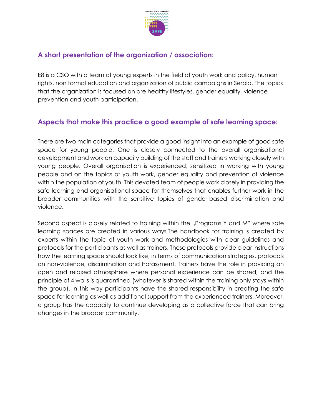

#### **A short presentation of the organization / association:**

E8 is a CSO with a team of young experts in the field of youth work and policy, human rights, non formal education and organization of public campaigns in Serbia. The topics that the organization is focused on are healthy lifestyles, gender equality, violence prevention and youth participation.

#### **Aspects that make this practice a good example of safe learning space:**

There are two main categories that provide a good insight into an example of good safe space for young people. One is closely connected to the overall organisational development and work on capacity building of the staff and trainers working closely with young people. Overall organisation is experienced, sensitized in working with young people and on the topics of youth work, gender equality and prevention of violence within the population of youth. This devoted team of people work closely in providing the safe learning and organisational space for themselves that enables further work in the broader communities with the sensitive topics of gender-based discrimination and violence.

Second aspect is closely related to training within the "Programs Y and M" where safe learning spaces are created in various ways.The handbook for training is created by experts within the topic of youth work and methodologies with clear guidelines and protocols for the participants as well as trainers. These protocols provide clear instructions how the learning space should look like, in terms of communication strategies, protocols on non-violence, discrimination and harassment. Trainers have the role in providing an open and relaxed atmosphere where personal experience can be shared, and the principle of 4 walls is quarantined (whatever is shared within the training only stays within the group). In this way participants have the shared responsibility in creating the safe space for learning as well as additional support from the experienced trainers. Moreover, a group has the capacity to continue developing as a collective force that can bring changes in the broader community.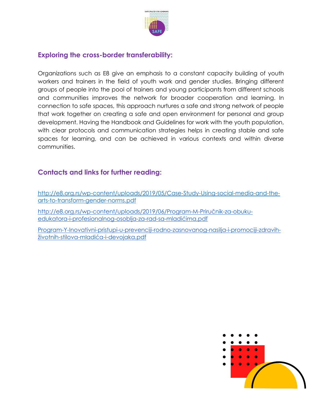

#### **Exploring the cross-border transferability:**

Organizations such as E8 give an emphasis to a constant capacity building of youth workers and trainers in the field of youth work and gender studies. Bringing different groups of people into the pool of trainers and young participants from different schools and communities improves the network for broader cooperation and learning. In connection to safe spaces, this approach nurtures a safe and strong network of people that work together on creating a safe and open environment for personal and group development. Having the Handbook and Guidelines for work with the youth population, with clear protocols and communication strategies helps in creating stable and safe spaces for learning, and can be achieved in various contexts and within diverse communities.

#### **Contacts and links for further reading:**

[http://e8.org.rs/wp-content/uploads/2019/05/Case-Study-Using-social-media-and-the](http://e8.org.rs/wp-content/uploads/2019/05/Case-Study-Using-social-media-and-the-arts-to-transform-gender-norms.pdf)[arts-to-transform-gender-norms.pdf](http://e8.org.rs/wp-content/uploads/2019/05/Case-Study-Using-social-media-and-the-arts-to-transform-gender-norms.pdf)

[http://e8.org.rs/wp-content/uploads/2019/06/Program-M-](http://e8.org.rs/wp-content/uploads/2019/06/Program-M-Priru%C4%8Dnik-za-obuku-edukatora-i-profesionalnog-osoblja-za-rad-sa-mladi%C4%87ima.pdf)Priručnik-za-obuku[edukatora-i-profesionalnog-osoblja-za-rad-sa-](http://e8.org.rs/wp-content/uploads/2019/06/Program-M-Priru%C4%8Dnik-za-obuku-edukatora-i-profesionalnog-osoblja-za-rad-sa-mladi%C4%87ima.pdf)mladićima.pdf

[Program-Y-Inovativni-pristupi-u-prevenciji-rodno-zasnovanog-nasilja-i-promociji-zdravih](http://e8.org.rs/wp-content/uploads/2019/06/Program-Y-Inovativni-pristupi-u-prevenciji-rodno-zasnovanog-nasilja-i-promociji-zdravih-%C5%BEivotnih-stilova-mladi%C4%87a-i-devojaka.pdf)životnih-stilova-mladića[-i-devojaka.pdf](http://e8.org.rs/wp-content/uploads/2019/06/Program-Y-Inovativni-pristupi-u-prevenciji-rodno-zasnovanog-nasilja-i-promociji-zdravih-%C5%BEivotnih-stilova-mladi%C4%87a-i-devojaka.pdf)

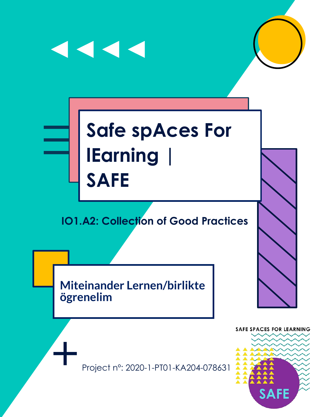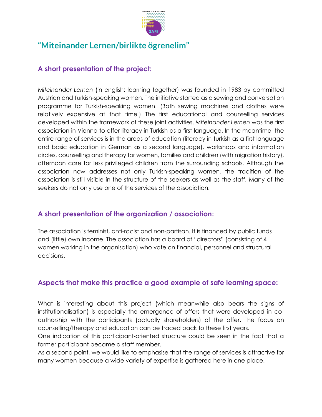

### **"Miteinander Lernen/birlikte ögrenelim"**

#### **A short presentation of the project:**

M*iteinander Lernen* (in english: learning together) was founded in 1983 by committed Austrian and Turkish-speaking women. The initiative started as a sewing and conversation programme for Turkish-speaking women. (Both sewing machines and clothes were relatively expensive at that time.) The first educational and counselling services developed within the framework of these joint activities. *Miteinander Lernen* was the first association in Vienna to offer literacy in Turkish as a first language. In the meantime, the entire range of services is in the areas of education (literacy in turkish as a first language and basic education in German as a second language), workshops and information circles, counselling and therapy for women, families and children (with migration history), afternoon care for less privileged children from the surrounding schools. Although the association now addresses not only Turkish-speaking women, the tradition of the association is still visible in the structure of the seekers as well as the staff. Many of the seekers do not only use one of the services of the association.

#### **A short presentation of the organization / association:**

The association is feminist, anti-racist and non-partisan. It is financed by public funds and (little) own income. The association has a board of "directors" (consisting of 4 women working in the organisation) who vote on financial, personnel and structural decisions.

#### **Aspects that make this practice a good example of safe learning space:**

What is interesting about this project (which meanwhile also bears the signs of institutionalisation) is especially the emergence of offers that were developed in coauthorship with the participants (actually shareholders) of the offer. The focus on counselling/therapy and education can be traced back to these first years.

One indication of this participant-oriented structure could be seen in the fact that a former participant became a staff member.

As a second point, we would like to emphasise that the range of services is attractive for many women because a wide variety of expertise is gathered here in one place.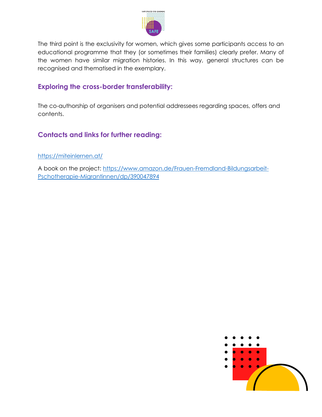

The third point is the exclusivity for women, which gives some participants access to an educational programme that they (or sometimes their families) clearly prefer. Many of the women have similar migration histories. In this way, general structures can be recognised and thematised in the exemplary.

#### **Exploring the cross-border transferability:**

The co-authorship of organisers and potential addressees regarding spaces, offers and contents.

#### **Contacts and links for further reading:**

<https://miteinlernen.at/>

A book on the project: [https://www.amazon.de/Frauen-Fremdland-Bildungsarbeit-](https://www.amazon.de/Frauen-Fremdland-Bildungsarbeit-Pschotherapie-Migrantinnen/dp/390047894)[Pschotherapie-Migrantinnen/dp/390047894](https://www.amazon.de/Frauen-Fremdland-Bildungsarbeit-Pschotherapie-Migrantinnen/dp/390047894)

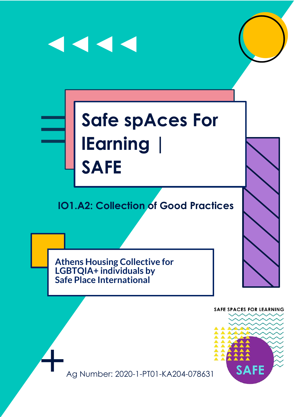## $\blacktriangleleft$   $\blacktriangleleft$   $\blacktriangleleft$

## **Safe spAces For lEarning | SAFE**

## **IO1.A2: Collection of Good Practices**

**Athens Housing Collective for LGBTQIA+ individuals by Safe Place International**

> **SAFE SPACES FOR LEARNING** SAFE

Ag Number: 2020-1-PT01-KA204-078631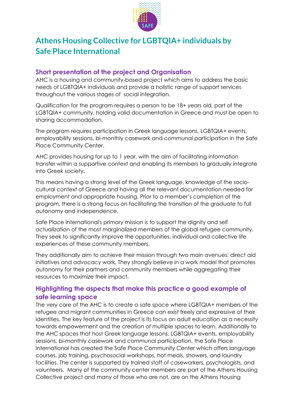

## **Athens Housing Collective for LGBTQIA+ individuals by Safe Place International**

#### **Short presentation of the project and Organisation**

AHC is a housing and community-based project which aims to address the basic needs of LGBTQIA+ individuals and provide a holistic range of support services throughout the various stages of social integration.

Qualification for the program requires a person to be 18+ years old, part of the LGBTQIA+ community, holding valid documentation in Greece and must be open to sharing accommodation.

The program requires participation in Greek language lessons, LGBTQIA+ events, employability sessions, bi-monthly casework and communal participation in the Safe Place Community Center.

AHC provides housing for up to 1 year, with the aim of facilitating information transfer within a supportive context and enabling its members to gradually integrate into Greek society.

This means having a strong level of the Greek language, knowledge of the sociocultural context of Greece and having all the relevant documentation needed for employment and appropriate housing. Prior to a member's completion of the program, there is a strong focus on facilitating the transition of the graduate to full autonomy and independence.

Safe Place International's primary mission is to support the dignity and self actualization of the most marginalized members of the global refugee community. They seek to significantly improve the opportunities, individual and collective life experiences of these community members.

They additionally aim to achieve their mission through two main avenues: direct aid initiatives and advocacy work. They strongly believe in a work model that promotes autonomy for their partners and community members while aggregating their resources to maximize their impact.

#### **Highlighting the aspects that make this practice a good example of safe learning space**

The very core of the AHC is to create a safe space where LGBTQIA+ members of the refugee and migrant communities in Greece can exist freely and expressive of their identities. The key feature of the project is its focus on adult education as a necessity towards empowerment and the creation of multiple spaces to learn. Additionally to the AHC spaces that host Greek language lessons, LGBTQIA+ events, employability sessions, bi-monthly casework and communal participation, the Safe Place International has created the Safe Place Community Center which offers language courses, job training, psychosocial workshops, hot meals, showers, and laundry facilities. The center is supported by trained staff of caseworkers, psychologists, and volunteers. Many of the community center members are part of the Athens Housing Collective project and many of those who are not, are on the Athens Housing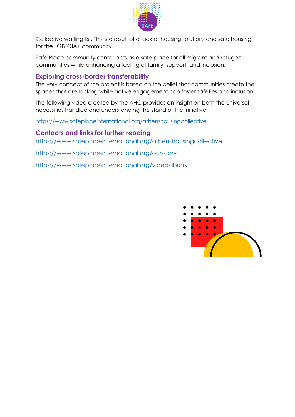

Collective waiting list. This is a result of a lack of housing solutions and safe housing for the LGBTQIA+ community.

Safe Place community center acts as a safe place for all migrant and refugee communities while enhancing a feeling of family, support, and inclusion.

#### **Exploring cross-border transferability**

The very concept of the project is based on the belief that communities create the spaces that are lacking while active engagement can foster safeties and inclusion.

The following video created by the AHC provides an insight on both the universal necessities handled and understanding the stand of the initiative:

<https://www.safeplaceinternational.org/athenshousingcollective>

**Contacts and links for further reading**

<https://www.safeplaceinternational.org/athenshousingcollective>

<https://www.safeplaceinternational.org/our-story>

<https://www.safeplaceinternational.org/video-library>

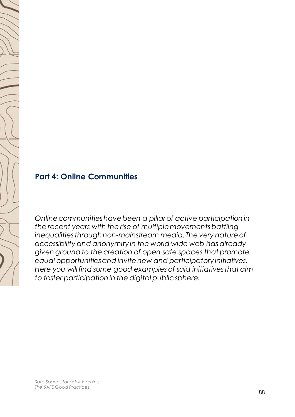

## **Part 4: Online Communities**

*Online communities have been a pillar of active participation in the recent years with the rise of multiple movements battling inequalities through non-mainstream media. The very nature of accessibility and anonymity in the world wide web has already given ground to the creation of open safe spaces that promote equal opportunities and invite new and participatory initiatives. Here you will find some good examples of said initiatives that aim to foster participation in the digital public sphere.*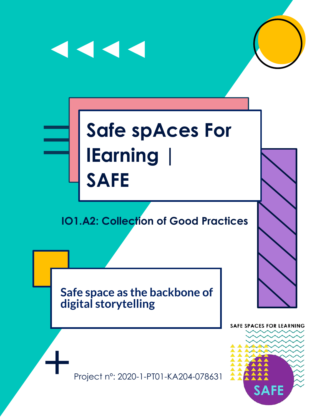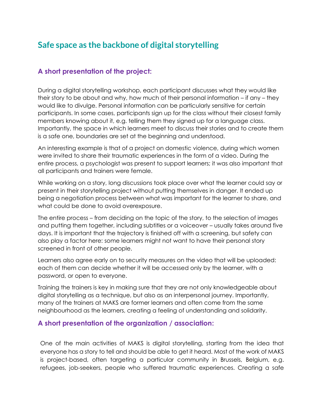## **Safe space as the backbone of digital storytelling**

#### **A short presentation of the project:**

During a digital storytelling workshop, each participant discusses what they would like their story to be about and why, how much of their personal information – if any – they would like to divulge. Personal information can be particularly sensitive for certain participants. In some cases, participants sign up for the class without their closest family members knowing about it, e.g. telling them they signed up for a language class. Importantly, the space in which learners meet to discuss their stories and to create them is a safe one, boundaries are set at the beginning and understood.

An interesting example is that of a project on domestic violence, during which women were invited to share their traumatic experiences in the form of a video. During the entire process, a psychologist was present to support learners; it was also important that all participants and trainers were female.

While working on a story, long discussions took place over what the learner could say or present in their storytelling project without putting themselves in danger. It ended up being a negotiation process between what was important for the learner to share, and what could be done to avoid overexposure.

The entire process – from deciding on the topic of the story, to the selection of images and putting them together, including subtitles or a voiceover – usually takes around five days. It is important that the trajectory is finished off with a screening, but safety can also play a factor here: some learners might not want to have their personal story screened in front of other people.

Learners also agree early on to security measures on the video that will be uploaded: each of them can decide whether it will be accessed only by the learner, with a password, or open to everyone.

Training the trainers is key in making sure that they are not only knowledgeable about digital storytelling as a technique, but also as an interpersonal journey. Importantly, many of the trainers at MAKS are former learners and often come from the same neighbourhood as the learners, creating a feeling of understanding and solidarity.

#### **A short presentation of the organization / association:**

One of the main activities of MAKS is digital storytelling, starting from the idea that everyone has a story to tell and should be able to get it heard. Most of the work of MAKS is project-based, often targeting a particular community in Brussels, Belgium, e.g. refugees, job-seekers, people who suffered traumatic experiences. Creating a safe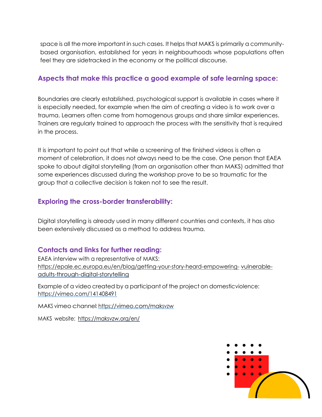space is all the more important in such cases. It helps that MAKS is primarily a communitybased organisation, established for years in neighbourhoods whose populations often feel they are sidetracked in the economy or the political discourse.

#### **Aspects that make this practice a good example of safe learning space:**

Boundaries are clearly established, psychological support is available in cases where it is especially needed, for example when the aim of creating a video is to work over a trauma. Learners often come from homogenous groups and share similar experiences. Trainers are regularly trained to approach the process with the sensitivity that is required in the process.

It is important to point out that while a screening of the finished videos is often a moment of celebration, it does not always need to be the case. One person that EAEA spoke to about digital storytelling (from an organisation other than MAKS) admitted that some experiences discussed during the workshop prove to be so traumatic for the group that a collective decision is taken not to see the result.

#### **Exploring the cross-border transferability:**

Digital storytelling is already used in many different countries and contexts, it has also been extensively discussed as a method to address trauma.

#### **Contacts and links for further reading:**

EAEA interview with a representative of MAKS: [https://epale.ec.europa.eu/en/blog/getting-your-story-heard-empowering-](https://epale.ec.europa.eu/en/blog/getting-your-story-heard-empowering-vulnerable-adults-through-digital-storytelling) [vulnerable](https://epale.ec.europa.eu/en/blog/getting-your-story-heard-empowering-vulnerable-adults-through-digital-storytelling)[adults-through-digital-storytelling](https://epale.ec.europa.eu/en/blog/getting-your-story-heard-empowering-vulnerable-adults-through-digital-storytelling)

Example of a video created by a participant of the project on domesticviolence: <https://vimeo.com/141408491>

MAKS vimeo channel: <https://vimeo.com/maksvzw>

MAKS website: <https://maksvzw.org/en/>

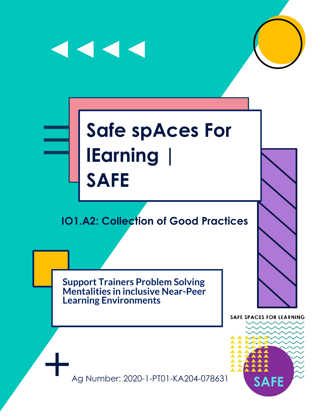



## **Safe spAces For lEarning | SAFE**

## **IO1.A2: Collection of Good Practices**

**Support Trainers Problem Solving Mentalities in inclusive Near-Peer Learning Environments**

**SAFE SPACES FOR LEARNING** 



Ag Number: 2020-1-PT01-KA204-078631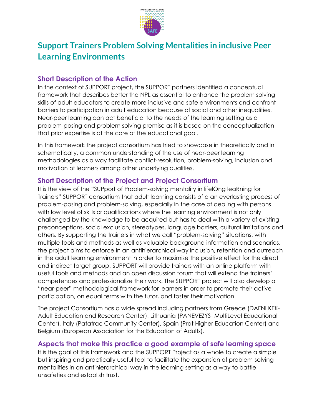

## **Support Trainers Problem Solving Mentalities in inclusive Peer Learning Environments**

#### **Short Description of the Action**

In the context of SUPPORT project, the SUPPORT partners identified a conceptual framework that describes better the NPL as essential to enhance the problem solving skills of adult educators to create more inclusive and safe environments and confront barriers to participation in adult education because of social and other inequalities. Near-peer learning can act beneficial to the needs of the learning setting as a problem-posing and problem solving premise as it is based on the conceptualization that prior expertise is at the core of the educational goal.

In this framework the project consortium has tried to showcase in theoretically and in schematically, a common understanding of the use of near-peer learning methodologies as a way facilitate conflict-resolution, problem-solving, inclusion and motivation of learners among other underlying qualities.

#### **Short Description of the Project and Project Consortium**

It is the view of the "SUPport of Problem-solving mentality in lifelOng leaRning for Trainers" SUPPORT consortium that adult learning consists of a an everlasting process of problem-posing and problem-solving, especially in the case of dealing with persons with low level of skills or qualifications where the learning environment is not only challenged by the knowledge to be acquired but has to deal with a variety of existing preconceptions, social exclusion, stereotypes, language barriers, cultural limitations and others. By supporting the trainers in what we call "problem-solving" situations, with multiple tools and methods as well as valuable background information and scenarios, the project aims to enforce in an antihierarchical way inclusion, retention and outreach in the adult learning environment in order to maximise the positive effect for the direct and indirect target group. SUPPORT will provide trainers with an online platform with useful tools and methods and an open discussion forum that will extend the trainers' competences and professionalize their work. The SUPPORT project will also develop a "near-peer" methodological framework for learners in order to promote their active participation, on equal terms with the tutor, and foster their motivation.

The project Consortium has a wide spread including partners from Greece (DAFNI KEK-Adult Education and Research Center), Lithuania (PANEVEZYS- MultiLevel Educational Center), Italy (Patatrac Community Center), Spain (Prat Higher Education Center) and Belgium (European Association for the Education of Adults).

#### **Aspects that make this practice a good example of safe learning space**

It is the goal of this framework and the SUPPORT Project as a whole to create a simple but inspiring and practically useful tool to facilitate the expansion of problem-solving mentalities in an antihierarchical way in the learning setting as a way to battle unsafeties and establish trust.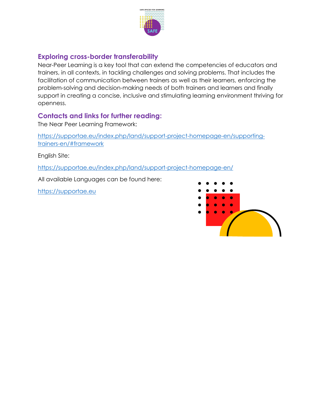

#### **Exploring cross-border transferability**

Near-Peer Learning is a key tool that can extend the competencies of educators and trainers, in all contexts, in tackling challenges and solving problems. That includes the facilitation of communication between trainers as well as their learners, enforcing the problem-solving and decision-making needs of both trainers and learners and finally support in creating a concise, inclusive and stimulating learning environment thriving for openness.

#### **Contacts and links for further reading:**

The Near Peer Learning Framework:

[https://supportae.eu/index.php/land/support-project-homepage-en/supporting](https://supportae.eu/index.php/land/support-project-homepage-en/supporting-trainers-en/#framework)[trainers-en/#framework](https://supportae.eu/index.php/land/support-project-homepage-en/supporting-trainers-en/#framework)

English Site:

<https://supportae.eu/index.php/land/support-project-homepage-en/>

All available Languages can be found here:

[https://supportae.eu](https://supportae.eu/)

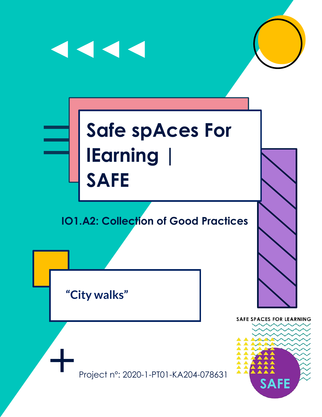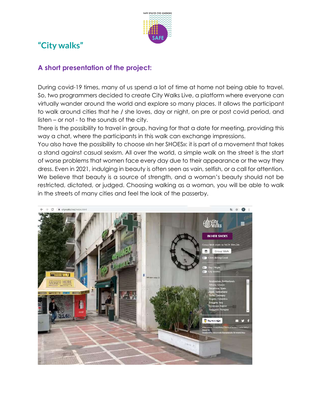

## **"City walks"**

#### **A short presentation of the project:**

During covid-19 times, many of us spend a lot of time at home not being able to travel. So, two programmers decided to create City Walks Live, a platform where everyone can virtually wander around the world and explore so many places. It allows the participant to walk around cities that he / she loves, day or night, on pre or post covid period, and listen – or not - to the sounds of the city.

There is the possibility to travel in group, having for that a date for meeting, providing this way a chat, where the participants in this walk can exchange impressions.

You also have the possibility to choose «In her SHOES»: it is part of a movement that takes a stand against casual sexism. All over the world, a simple walk on the street is the start of worse problems that women face every day due to their appearance or the way they dress. Even in 2021, indulging in beauty is often seen as vain, selfish, or a call for attention. We believe that beauty is a source of strength, and a woman's beauty should not be restricted, dictated, or judged. Choosing walking as a woman, you will be able to walk in the streets of many cities and feel the look of the passerby.

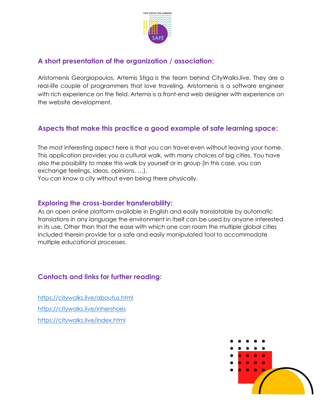

#### **A short presentation of the organization / association:**

Aristomenis Georgiopoulos, Artemis Stiga is the team behind CityWalks.live. They are a real-life couple of programmers that love traveling. Aristomenis is a software engineer with rich experience on the field. Artemis is a front-end web designer with experience on the website development.

#### **Aspects that make this practice a good example of safe learning space:**

The most interesting aspect here is that you can travel even without leaving your home. This application provides you a cultural walk, with many choices of big cities. You have also the possibility to make this walk by yourself or in group (in this case, you can exchange feelings, ideas, opinions, …).

You can know a city without even being there physically.

#### **Exploring the cross-border transferability:**

As an open online platform available in English and easily translatable by automatic translations in any language the environment in itself can be used by anyone interested in its use. Other than that the ease with which one can roam the multiple global cities included therein provide for a safe and easily manipulated tool to accommodate multiple educational processes.

#### **Contacts and links for further reading:**

<https://citywalks.live/aboutus.html> <https://citywalks.live/inhershoes> <https://citywalks.live/index.html>

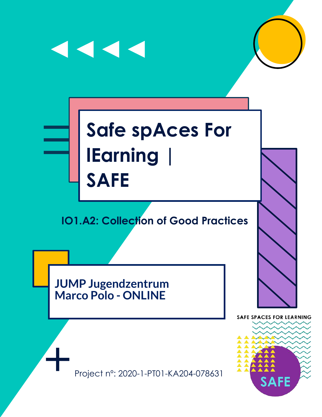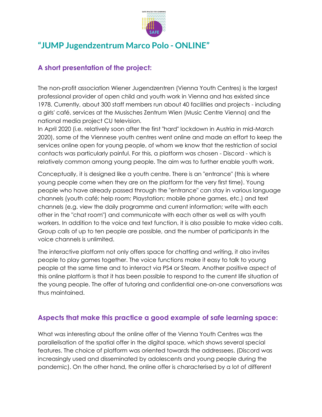

### **"JUMP Jugendzentrum Marco Polo - ONLINE"**

#### **A short presentation of the project:**

The non-profit association Wiener Jugendzentren (Vienna Youth Centres) is the largest professional provider of open child and youth work in Vienna and has existed since 1978. Currently, about 300 staff members run about 40 facilities and projects - including a girls' café, services at the Musisches Zentrum Wien (Music Centre Vienna) and the national media project CU television.

In April 2020 (i.e. relatively soon after the first "hard" lockdown in Austria in mid-March 2020), some of the Viennese youth centres went online and made an effort to keep the services online open for young people, of whom we know that the restriction of social contacts was particularly painful. For this, a platform was chosen - Discord - which is relatively common among young people. The aim was to further enable youth work.

Conceptually, it is designed like a youth centre. There is an "entrance" (this is where young people come when they are on the platform for the very first time). Young people who have already passed through the "entrance" can stay in various language channels (youth café; help room; Playstation; mobile phone games, etc.) and text channels (e.g. view the daily programme and current information; write with each other in the "chat room") and communicate with each other as well as with youth workers. In addition to the voice and text function, it is also possible to make video calls. Group calls of up to ten people are possible, and the number of participants in the voice channels is unlimited.

The interactive platform not only offers space for chatting and writing, it also invites people to play games together. The voice functions make it easy to talk to young people at the same time and to interact via PS4 or Steam. Another positive aspect of this online platform is that it has been possible to respond to the current life situation of the young people. The offer of tutoring and confidential one-on-one conversations was thus maintained.

#### **Aspects that make this practice a good example of safe learning space:**

What was interesting about the online offer of the Vienna Youth Centres was the parallelisation of the spatial offer in the digital space, which shows several special features. The choice of platform was oriented towards the addressees. (Discord was increasingly used and disseminated by adolescents and young people during the pandemic). On the other hand, the online offer is characterised by a lot of different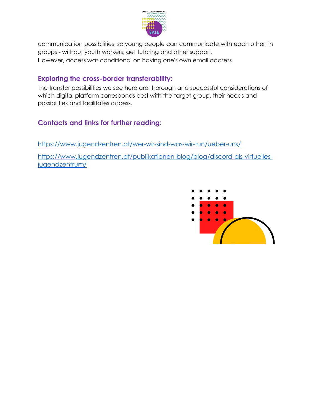

communication possibilities, so young people can communicate with each other, in groups - without youth workers, get tutoring and other support. However, access was conditional on having one's own email address.

#### **Exploring the cross-border transferability:**

The transfer possibilities we see here are thorough and successful considerations of which digital platform corresponds best with the target group, their needs and possibilities and facilitates access.

#### **Contacts and links for further reading:**

<https://www.jugendzentren.at/wer-wir-sind-was-wir-tun/ueber-uns/>

[https://www.jugendzentren.at/publikationen-blog/blog/discord-als-virtuelles](https://www.jugendzentren.at/publikationen-blog/blog/discord-als-virtuelles-jugendzentrum/)[jugendzentrum/](https://www.jugendzentren.at/publikationen-blog/blog/discord-als-virtuelles-jugendzentrum/)

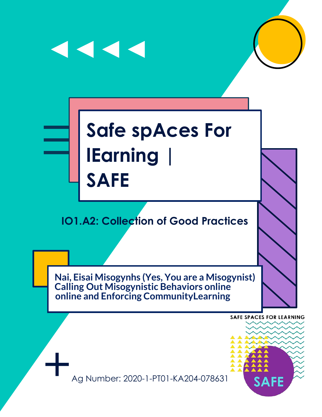

# **Safe spAces For lEarning | SAFE**

 $\blacktriangleleft$   $\blacktriangleleft$   $\blacktriangleleft$ 

# **IO1.A2: Collection of Good Practices**

**Nai, Eisai Misogynhs (Yes, You are a Misogynist) Calling Out Misogynistic Behaviors online online and Enforcing CommunityLearning**

**SAFE SPACES FOR LEARNING** 



Ag Number: 2020-1-PT01-KA204-078631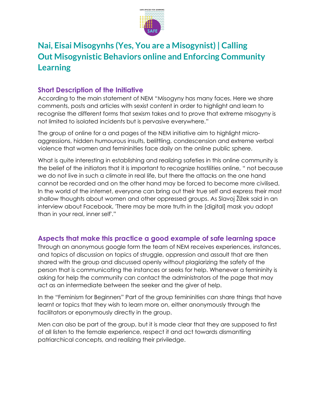

# **Nai, Eisai Misogynhs (Yes, You are a Misogynist) | Calling Out Misogynistic Behaviors online and Enforcing Community Learning**

#### **Short Description of the Initiative**

According to the main statement of NEM "Misogyny has many faces. Here we share comments, posts and articles with sexist content in order to highlight and learn to recognise the different forms that sexism takes and to prove that extreme misogyny is not limited to isolated incidents but is pervasive everywhere."

The group of online for a and pages of the NEM initiative aim to highlight microaggressions, hidden humourous insults, belittling, condescension and extreme verbal violence that women and femininities face daily on the online public sphere.

What is quite interesting in establishing and realizing safeties in this online community is the belief of the initiators that it is important to recognize hostilities online, " not because we do not live in such a climate in real life, but there the attacks on the one hand cannot be recorded and on the other hand may be forced to become more civilised. In the world of the internet, everyone can bring out their true self and express their most shallow thoughts about women and other oppressed groups. As Slavoj Žižek said in an interview about Facebook, 'There may be more truth in the [digital] mask you adopt than in your real, inner self'."

#### **Aspects that make this practice a good example of safe learning space**

Through an anonymous google form the team of NEM receives experiences, instances, and topics of discussion on topics of struggle, oppression and assault that are then shared with the group and discussed openly without plagiarizing the safety of the person that is communicating the instances or seeks for help. Whenever a femininity is asking for help the community can contact the administrators of the page that may act as an intermediate between the seeker and the giver of help.

In the "Feminism for Beginners" Part of the group femininities can share things that have learnt or topics that they wish to learn more on, either anonymously through the facilitators or eponymously directly in the group.

Men can also be part of the group, but it is made clear that they are supposed to first of all listen to the female experience, respect it and act towards dismantling patriarchical concepts, and realizing their priviledge.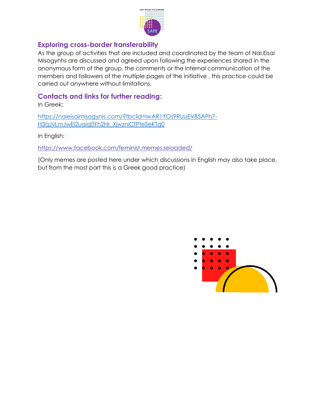

#### **Exploring cross-border transferability**

As the group of activities that are included and coordinated by the team of Nai,Eisai Misogynhs are discussed and agreed upon following the experiences shared in the anonymous form of the group, the comments or the internal communication of the members and followers of the multiple pages of the initiative , this practice could be carried out anywhere without limitations.

#### **Contacts and links for further reading:**

In Greek:

[https://naieisaimisogynis.com/?fbclid=IwAR1YOs9RUuEV85APh7-](https://naieisaimisogynis.com/?fbclid=IwAR1YOs9RUuEV85APh7-H3qJvLmJwEi2uaiq0Yh2Hr_XjwzniCfPteSeKTg0) [H3qJvLmJwEi2uaiq0Yh2Hr\\_XjwzniCfPteSeKTg0](https://naieisaimisogynis.com/?fbclid=IwAR1YOs9RUuEV85APh7-H3qJvLmJwEi2uaiq0Yh2Hr_XjwzniCfPteSeKTg0)

In English:

<https://www.facebook.com/feminist.memes.reloaded/>

(Only memes are posted here under which discussions in English may also take place, but from the most part this is a Greek good practice)

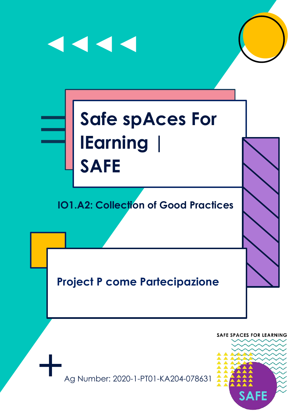

Ag Number: 2020-1-PT01-KA204-078631

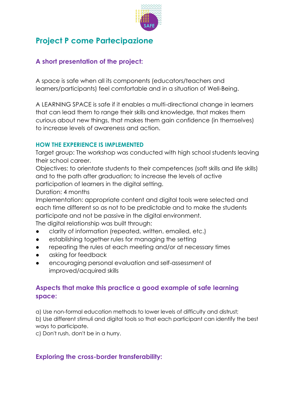

# **Project P come Partecipazione**

#### **A short presentation of the project:**

A space is safe when all its components (educators/teachers and learners/participants) feel comfortable and in a situation of Well-Being.

A LEARNING SPACE is safe if it enables a multi-directional change in learners that can lead them to range their skills and knowledge, that makes them curious about new things, that makes them gain confidence (in themselves) to increase levels of awareness and action.

#### **HOW THE EXPERIENCE IS IMPLEMENTED**

Target group: The workshop was conducted with high school students leaving their school career.

Objectives: to orientate students to their competences (soft skills and life skills) and to the path after graduation; to increase the levels of active participation of learners in the digital setting.

Duration: 4 months

Implementation: appropriate content and digital tools were selected and each time different so as not to be predictable and to make the students participate and not be passive in the digital environment.

The digital relationship was built through:

- clarity of information (repeated, written, emailed, etc.)
- establishing together rules for managing the setting
- repeating the rules at each meeting and/or at necessary times
- asking for feedback
- encouraging personal evaluation and self-assessment of improved/acquired skills

#### **Aspects that make this practice a good example of safe learning space:**

a) Use non-formal education methods to lower levels of difficulty and distrust; b) Use different stimuli and digital tools so that each participant can identify the best ways to participate.

c) Don't rush, don't be in a hurry.

#### **Exploring the cross-border transferability:**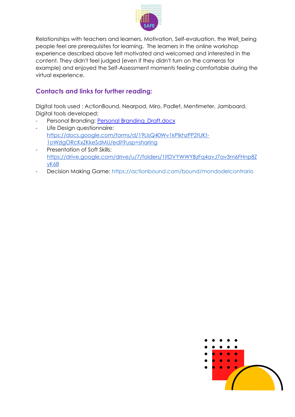

Relationships with teachers and learners, Motivation, Self-evaluation, the Well\_being people feel are prerequisites for learning. The learners in the online workshop experience described above felt motivated and welcomed and interested in the content. They didn't feel judged (even if they didn't turn on the cameras for example) and enjoyed the Self-Assessment moments feeling comfortable during the virtual experience.

#### **Contacts and links for further reading:**

Digital tools used : ActionBound, Nearpod, Miro, Padlet, Mentimeter, Jamboard. Digital tools developed:

- Personal Branding: [Personal Branding\\_Draft.docx](https://docs.google.com/document/d/1KIAXYgyHl_0B6NH_16IpuH4pR3BuTpXE/edit)
- Life Design questionnaire: [https://docs.google.com/forms/d/19LlsQ40Wv1kPlkhzPP2tUKt-](https://docs.google.com/forms/d/19LlsQ40Wv1kPlkhzPP2tUKt-1oWzlgORcKxZKkeSdMU/edit?usp=sharing)[1oWzlgORcKxZKkeSdMU/edit?usp=sharing](https://docs.google.com/forms/d/19LlsQ40Wv1kPlkhzPP2tUKt-1oWzlgORcKxZKkeSdMU/edit?usp=sharing)
- Presentation of Soft Skills: [https://drive.google.com/drive/u/7/folders/1ItDVYWWYBzFq4avJ7av3m6FHnp8Z](https://drive.google.com/drive/u/7/folders/1ItDVYWWYBzFq4avJ7av3m6FHnp8ZyK68) [yK68](https://drive.google.com/drive/u/7/folders/1ItDVYWWYBzFq4avJ7av3m6FHnp8ZyK68)
- Decision Making Game:<https://actionbound.com/bound/mondodelcontrario>